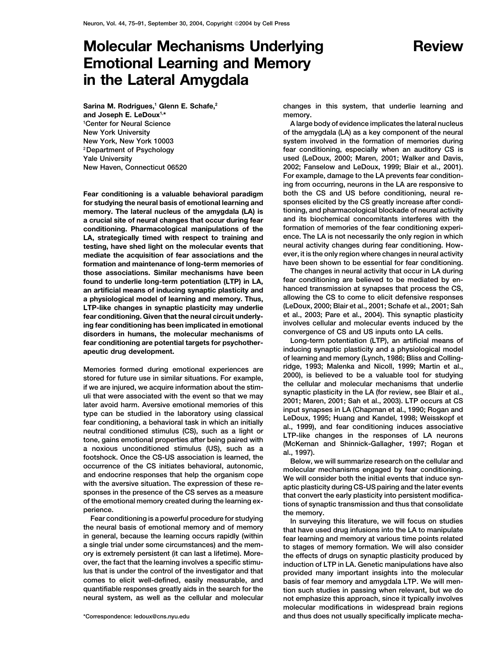# **Molecular Mechanisms Underlying Theory Review Emotional Learning and Memory in the Lateral Amygdala**

Sarina M. Rodrigues,<sup>1</sup> Glenn E. Schafe,<sup>2</sup> **and Joseph E. LeDoux1,\* 1 Center for Neural Science New York University New York, New York 10003**

for studying the neural basis of emotional learning and **memory. The lateral nucleus of the amygdala (LA) is tioning, and pharmacological blockade of neural activity a crucial site of neural changes that occur during fear and its biochemical concomitants interferes with the conditioning. Pharmacological manipulations of the formation of memories of the fear conditioning experi-LA, strategically timed with respect to training and ence. The LA is not necessarily the only region in which testing, have shed light on the molecular events that neural activity changes during fear conditioning. Howmediate the acquisition of fear associations and the ever, it is the only region where changes in neural activity have been shown to be essential for fear conditioning. formation and maintenance of long-term memories of long-term memories of long-term memories of long-term memories of long-term mechanisms have been and the changes those associations. Similar mechanisms have been The changes in neural activity that occur in LA during found to underlie long-term potentiation (LTP) in LA,** fear conditioning are believed to be mediated by en-<br>an artificial means of inducing synaptic plasticity and hanced transmission at synapses that process the CS, **an artificial means of inducing synaptic plasticity and hanced transmission at synapses that process the CS, a physiological model of learning and memory. Thus, allowing the CS to come to elicit defensive responses LTP-like changes in synaptic plasticity may underlie (LeDoux, 2000; Blair et al., 2001; Schafe et al., 2001; Sah** fear conditioning. Given that the neural circuit underly-<br> **ing fear conditioning has been implicated in emotional** linvolves cellular and molecular events induced by the **involves cellular and molecular events induced by the ing fear conditioning has been implicated in emotional** disorders in humans, the molecular mechanisms of convergence of CS and US inputs onto LA cells.<br>**fear conditioning are potential targets for psychother-** Long-term potentiation (LTP), an artificial means of

stored for future use in similar situations. For example,<br>
the cellular and molecular mechanisms that underlies<br>
the cellular and molecular mechanisms that underlies<br>
the verse in similar situations about the similar syngp

**over, the fact that the learning involves a specific stimu- induction of LTP in LA. Genetic manipulations have also lus that is under the control of the investigator and that provided many important insights into the molecular comes to elicit well-defined, easily measurable, and basis of fear memory and amygdala LTP. We will men-**

**changes in this system, that underlie learning and memory.**

**A large body of evidence implicates the lateral nucleus of the amygdala (LA) as a key component of the neural system involved in the formation of memories during fear conditioning, especially when an auditory CS is 2Department of Psychology Yale University used (LeDoux, 2000; Maren, 2001; Walker and Davis, New Haven, Connecticut 06520 2002; Fanselow and LeDoux, 1999; Blair et al., 2001). For example, damage to the LA prevents fear conditioning from occurring, neurons in the LA are responsive to Fear conditioning is a valuable behavioral paradigm both the CS and US before conditioning, neural re-**

fear conditioning are potential targets for psychother-<br>apeutic drug development.<br>-of learning and memory (Lynch, 1986; Bliss and Colling<br>-of learning and memory (Lynch, 1986; Bliss and Colling **Memories formed during emotional experiences are ridge, 1993; Malenka and Nicoll, 1999; Martin et al.,**

**quantifiable responses greatly aids in the search for the tion such studies in passing when relevant, but we do** not emphasize this approach, since it typically involves **molecular modifications in widespread brain regions \*Correspondence: ledoux@cns.nyu.edu and thus does not usually specifically implicate mecha-**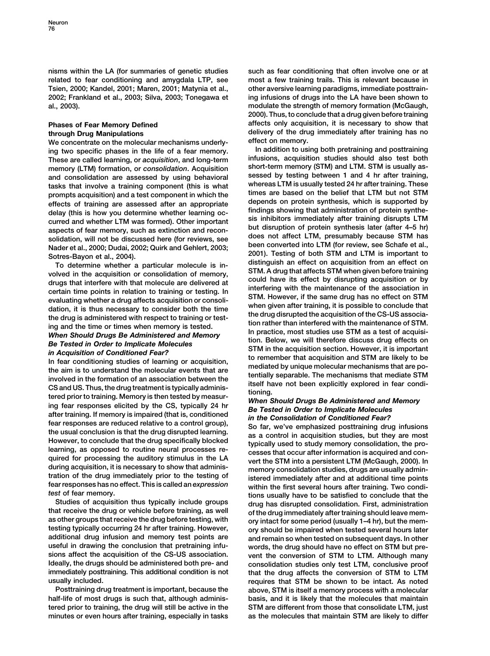**nisms within the LA (for summaries of genetic studies such as fear conditioning that often involve one or at related to fear conditioning and amygdala LTP, see most a few training trails. This is relevant because in Tsien, 2000; Kandel, 2001; Maren, 2001; Matynia et al., other aversive learning paradigms, immediate posttrain-2002; Frankland et al., 2003; Silva, 2003; Tonegawa et ing infusions of drugs into the LA have been shown to al., 2003). modulate the strength of memory formation (McGaugh,**

We concentrate on the molecular mechanisms underly-<br>ing two specific phases in the life of a fear memory. **In addition to using both pretraining and posttraining ing two specific phases in the life of a fear memory. In addition to using both pretraining and posttraining** These are called learning, or *acquisition*, and long-term memory (LTM) formation, or *consolidation*. Acquisition short-term memory (STM) and LTM. STM is usually as-<br>and consolidation are assessed by using behavioral sessed by testing between 1 and 4 hr after training. and consolidation are assessed by using behavioral sessed by testing between 1 and 4 nr after training,<br>tasks that involve a training component (this is what whereas LTM is usually tested 24 hr after training. These<br>recons prompts acquisition) and a test component in which the **the state based on the belief that LTM but not STM**<br>effects of training are assessed after an appropriate depends on protein synthesis, which is supported by effects of training are assessed after an appropriate<br>delay (this is how you determine whether learning oc-<br>findings showing that administration of protein synthe**curred and whether LTM was formed). Other important** sis inhibitors immediately after training disrupts LTM<br>compared and whether LTM was formed). Other important but disruption of protein synthesis later (after 4–5 hr)

**that receive the drug or vehicle before training, as well of the drug immediately after training should leave memtesting typically occurring 24 hr after training. However, ory should be impaired when tested several hours later additional drug infusion and memory test points are and remain so when tested on subsequent days. In other useful in drawing the conclusion that pretraining infu- words, the drug should have no effect on STM but pre-Ideally, the drugs should be administered both pre- and consolidation studies only test LTM, conclusive proof immediately posttraining. This additional condition is not that the drug affects the conversion of STM to LTM**

**half-life of most drugs is such that, although adminis- basis, and it is likely that the molecules that maintain minutes or even hours after training, especially in tasks as the molecules that maintain STM are likely to differ**

**2000). Thus, to conclude that a drug given before training Phases of Fear Memory Defined affects only acquisition, it is necessary to show that through Drug Manipulations delivery of the drug immediately after training has no**

aspects of tear menory, such as extinction and recon-<br>solidation, will not be discussed here (for reviews, see<br>solidation, will not be discussed here (for reviews, see<br>does not affect LTM, presumably because STM has<br>hader

*test* of fear memory.<br> **tions usually have to be satisfied to conclude that the**<br> **critically structure of the drug inmediately after training should leave mem-**<br> **drug has disrupted consolidation.** First, administration<br> ory intact for some period (usually 1–4 hr), but the memvent the conversion of STM to LTM. Although many **usually included. requires that STM be shown to be intact. As noted Posttraining drug treatment is important, because the above, STM is itself a memory process with a molecular tered prior to training, the drug will still be active in the STM are different from those that consolidate LTM, just**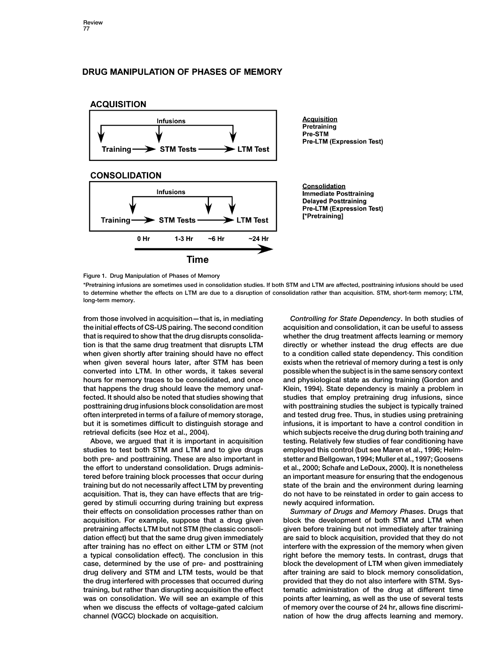## DRUG MANIPULATION OF PHASES OF MEMORY



**Figure 1. Drug Manipulation of Phases of Memory**

**\*Pretraining infusions are sometimes used in consolidation studies. If both STM and LTM are affected, posttraining infusions should be used to determine whether the effects on LTM are due to a disruption of consolidation rather than acquisition. STM, short-term memory; LTM, long-term memory.**

**from those involved in acquisition—that is, in mediating** *Controlling for State Dependency***. In both studies of the initial effects of CS-US pairing. The second condition acquisition and consolidation, it can be useful to assess that is required to show that the drug disrupts consolida- whether the drug treatment affects learning or memory tion is that the same drug treatment that disrupts LTM directly or whether instead the drug effects are due** when given shortly after training should have no effect to a condition called state dependency. This condition **when given several hours later, after STM has been exists when the retrieval of memory during a test is only converted into LTM. In other words, it takes several possible when the subject is in the same sensory context hours for memory traces to be consolidated, and once and physiological state as during training (Gordon and that happens the drug should leave the memory unaf- Klein, 1994). State dependency is mainly a problem in fected. It should also be noted that studies showing that studies that employ pretraining drug infusions, since posttraining drug infusions block consolidation are most with posttraining studies the subject is typically trained often interpreted in terms of a failure of memory storage, and tested drug free. Thus, in studies using pretraining but it is sometimes difficult to distinguish storage and infusions, it is important to have a control condition in retrieval deficits (see Hoz et al., 2004). which subjects receive the drug during both training** *and*

**studies to test both STM and LTM and to give drugs employed this control (but see Maren et al., 1996; Helmboth pre- and posttraining. These are also important in stetter and Bellgowan, 1994; Muller et al., 1997; Goosens the effort to understand consolidation. Drugs adminis- et al., 2000; Schafe and LeDoux, 2000). It is nonetheless tered before training block processes that occur during an important measure for ensuring that the endogenous training but do not necessarily affect LTM by preventing state of the brain and the environment during learning acquisition. That is, they can have effects that are trig- do not have to be reinstated in order to gain access to gered by stimuli occurring during training but express newly acquired information. their effects on consolidation processes rather than on** *Summary of Drugs and Memory Phases***. Drugs that acquisition. For example, suppose that a drug given block the development of both STM and LTM when pretraining affects LTM but not STM (the classic consoli- given before training but not immediately after training dation effect) but that the same drug given immediately are said to block acquisition, provided that they do not after training has no effect on either LTM or STM (not interfere with the expression of the memory when given a typical consolidation effect). The conclusion in this right before the memory tests. In contrast, drugs that case, determined by the use of pre- and posttraining block the development of LTM when given immediately drug delivery and STM and LTM tests, would be that after training are said to block memory consolidation, the drug interfered with processes that occurred during provided that they do not also interfere with STM. Systraining, but rather than disrupting acquisition the effect tematic administration of the drug at different time** was on consolidation. We will see an example of this points after learning, as well as the use of several tests **when we discuss the effects of voltage-gated calcium of memory over the course of 24 hr, allows fine discrimichannel (VGCC) blockade on acquisition. nation of how the drug affects learning and memory.**

**Above, we argued that it is important in acquisition testing. Relatively few studies of fear conditioning have**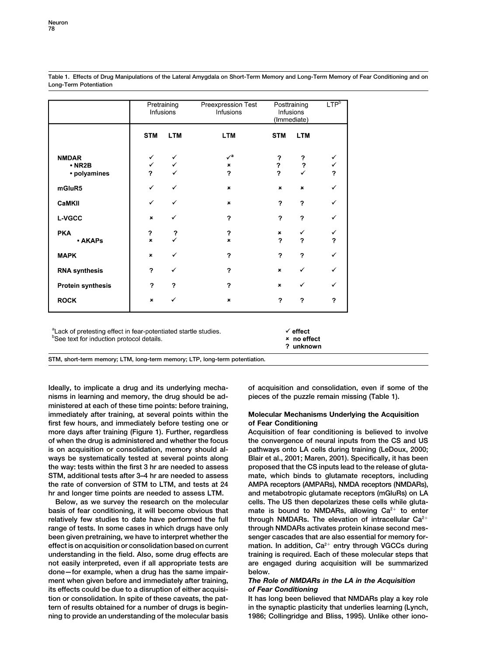|                                              | Pretraining<br>Infusions                                |              | Preexpression Test<br>Infusions                                           | Posttraining<br>Infusions<br>(Immediate)       |                                   | LTP <sup>b</sup>                     |
|----------------------------------------------|---------------------------------------------------------|--------------|---------------------------------------------------------------------------|------------------------------------------------|-----------------------------------|--------------------------------------|
|                                              | <b>STM</b>                                              | <b>LTM</b>   | <b>LTM</b>                                                                | <b>STM</b>                                     | <b>LTM</b>                        |                                      |
| <b>NMDAR</b><br>$\cdot$ NR2B<br>• polyamines | $\checkmark$<br>$\checkmark$<br>$\overline{\mathbf{r}}$ | ✓<br>✓       | $\checkmark$ <sup>a</sup><br>$\pmb{\times}$<br>$\boldsymbol{\mathcal{P}}$ | ?<br>$\overline{\mathbf{?}}$<br>$\overline{2}$ | ?<br>$\overline{\mathbf{r}}$<br>✓ | ✓<br>✓<br>$\boldsymbol{\mathcal{P}}$ |
| mGluR5                                       | $\checkmark$                                            | ✓            | $\pmb{\times}$                                                            | $\pmb{\times}$                                 | $\pmb{\times}$                    | ✓                                    |
| CaMKII                                       | $\checkmark$                                            | ✓            | $\pmb{\times}$                                                            | $\overline{\mathbf{r}}$                        | ?                                 | ✓                                    |
| <b>L-VGCC</b>                                | $\pmb{\times}$                                          | ✓            | $\mathbf{r}$                                                              | $\boldsymbol{\mathcal{P}}$                     | 2                                 | ✓                                    |
| <b>PKA</b><br>• AKAPs                        | $\boldsymbol{\mathcal{P}}$<br>$\pmb{\times}$            | ?<br>✓       | ?<br>$\pmb{\times}$                                                       | $\pmb{\times}$<br>?                            | ✓<br>?                            | ✓<br>$\overline{\phantom{a}}$        |
| <b>MAPK</b>                                  | $\pmb{\times}$                                          | ✓            | $\mathbf{?}$                                                              | $\boldsymbol{\mathcal{P}}$                     | $\overline{\phantom{a}}$          | ✓                                    |
| <b>RNA synthesis</b>                         | ?                                                       | ✓            | $\boldsymbol{\mathcal{P}}$                                                | $\pmb{\times}$                                 | ✓                                 | ✓                                    |
| Protein synthesis                            | $\boldsymbol{\mathcal{P}}$                              | ?            | $\overline{\mathbf{?}}$                                                   | $\pmb{\times}$                                 | ✓                                 | ✓                                    |
| <b>ROCK</b>                                  | $\pmb{\times}$                                          | $\checkmark$ | $\pmb{\times}$                                                            | $\boldsymbol{\mathcal{P}}$                     | ?                                 | $\overline{\mathbf{r}}$              |

**Table 1. Effects of Drug Manipulations of the Lateral Amygdala on Short-Term Memory and Long-Term Memory of Fear Conditioning and on Long-Term Potentiation**

<sup>b</sup>See text for induction protocol details.

**x** no effect ? unknown

**STM, short-term memory; LTM, long-term memory; LTP, long-term potentiation.**

**Ideally, to implicate a drug and its underlying mecha- of acquisition and consolidation, even if some of the nisms in learning and memory, the drug should be ad- pieces of the puzzle remain missing (Table 1). ministered at each of these time points: before training, immediately after training, at several points within the Molecular Mechanisms Underlying the Acquisition first few hours, and immediately before testing one or of Fear Conditioning more days after training (Figure 1). Further, regardless Acquisition of fear conditioning is believed to involve of when the drug is administered and whether the focus the convergence of neural inputs from the CS and US is on acquisition or consolidation, memory should al- pathways onto LA cells during training (LeDoux, 2000; ways be systematically tested at several points along Blair et al., 2001; Maren, 2001). Specifically, it has been the way: tests within the first 3 hr are needed to assess proposed that the CS inputs lead to the release of gluta-STM, additional tests after 3–4 hr are needed to assess mate, which binds to glutamate receptors, including the rate of conversion of STM to LTM, and tests at 24 AMPA receptors (AMPARs), NMDA receptors (NMDARs),**

**basis of fear conditioning, it will become obvious that** mate is bound to NMDARs, allowing Ca<sup>2+</sup> to enter relatively few studies to date have performed the full  $\qquad$  through NMDARs. The elevation of intracellular  $Ca^{2+}$ **range of tests. In some cases in which drugs have only through NMDARs activates protein kinase second mesbeen given pretraining, we have to interpret whether the senger cascades that are also essential for memory foreffect is on acquisition or consolidation based on current** entration. In addition, Ca<sup>2+</sup> entry through VGCCs during **understanding in the field. Also, some drug effects are training is required. Each of these molecular steps that not easily interpreted, even if all appropriate tests are are engaged during acquisition will be summarized done—for example, when a drug has the same impair- below. ment when given before and immediately after training,** *The Role of NMDARs in the LA in the Acquisition* **its effects could be due to a disruption of either acquisi-** *of Fear Conditioning* **tion or consolidation. In spite of these caveats, the pat- It has long been believed that NMDARs play a key role tern of results obtained for a number of drugs is begin- in the synaptic plasticity that underlies learning (Lynch, ning to provide an understanding of the molecular basis 1986; Collingridge and Bliss, 1995). Unlike other iono-**

**hr and longer time points are needed to assess LTM. and metabotropic glutamate receptors (mGluRs) on LA Below, as we survey the research on the molecular cells. The US then depolarizes these cells while gluta-**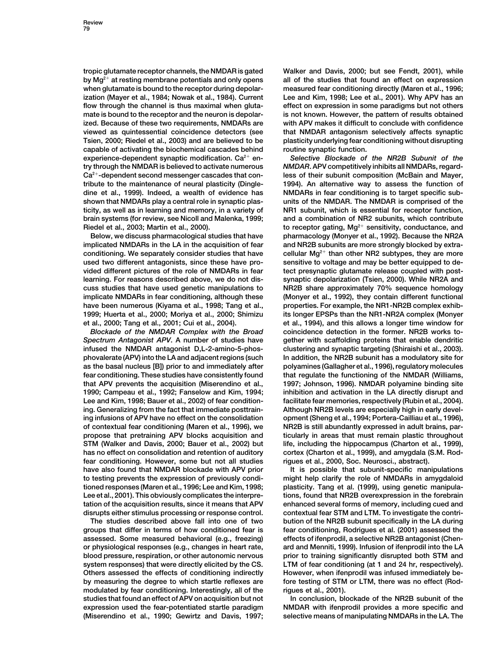by Mg<sup>2+</sup> at resting membrane potentials and only opens all of the studies that found an effect on expression **when glutamate is bound to the receptor during depolar- measured fear conditioning directly (Maren et al., 1996; ization (Mayer et al., 1984; Nowak et al., 1984). Current Lee and Kim, 1998; Lee et al., 2001). Why APV has an flow through the channel is thus maximal when gluta- effect on expression in some paradigms but not others mate is bound to the receptor and the neuron is depolar- is not known. However, the pattern of results obtained ized. Because of these two requirements, NMDARs are with APV makes it difficult to conclude with confidence viewed as quintessential coincidence detectors (see that NMDAR antagonism selectively affects synaptic Tsien, 2000; Riedel et al., 2003) and are believed to be plasticity underlying fear conditioning without disrupting capable of activating the biochemical cascades behind routine synaptic function. experience-dependent synaptic modification. Ca2 en-** *Selective Blockade of the NR2B Subunit of the* **try through the NMDAR is believed to activate numerous** *NMDAR***. APV competitively inhibits all NMDARs, regard-Ca2-dependent second messenger cascades that con- less of their subunit composition (McBain and Mayer, tribute to the maintenance of neural plasticity (Dingle- 1994). An alternative way to assess the function of dine et al., 1999). Indeed, a wealth of evidence has NMDARs in fear conditioning is to target specific subshown that NMDARs play a central role in synaptic plas- units of the NMDAR. The NMDAR is comprised of the ticity, as well as in learning and memory, in a variety of NR1 subunit, which is essential for receptor function, brain systems (for review, see Nicoll and Malenka, 1999; and a combination of NR2 subunits, which contribute** Riedel et al., 2003; Martin et al., 2000). **the example of receptor gating, Mg<sup>2+</sup> sensitivity, conductance, and** 

implicated NMDARs in the LA in the acquisition of fear and NR2B subunits are more strongly blocked by extra**cellular Mg2 conditioning. We separately consider studies that have than other NR2 subtypes, they are more used two different antagonists, since these have pro- sensitive to voltage and may be better equipped to devided different pictures of the role of NMDARs in fear tect presynaptic glutamate release coupled with postlearning. For reasons described above, we do not dis- synaptic depolarization (Tsien, 2000). While NR2A and cuss studies that have used genetic manipulations to NR2B share approximately 70% sequence homology implicate NMDARs in fear conditioning, although these (Monyer et al., 1992), they contain different functional have been numerous (Kiyama et al., 1998; Tang et al., properties. For example, the NR1-NR2B complex exhib-1999; Huerta et al., 2000; Moriya et al., 2000; Shimizu its longer EPSPs than the NR1-NR2A complex (Monyer**

*Spectrum Antagonist APV***. A number of studies have gether with scaffolding proteins that enable dendritic infused the NMDAR antagonist D,L-2-amino-5-phos- clustering and synaptic targeting (Shiraishi et al., 2003). phovalerate (APV) into the LA and adjacent regions (such In addition, the NR2B subunit has a modulatory site for as the basal nucleus [B]) prior to and immediately after polyamines (Gallagher et al., 1996), regulatory molecules fear conditioning. These studies have consistently found that regulate the functioning of the NMDAR (Williams, that APV prevents the acquisition (Miserendino et al., 1997; Johnson, 1996). NMDAR polyamine binding site 1990; Campeau et al., 1992; Fanselow and Kim, 1994; inhibition and activation in the LA directly disrupt and Lee and Kim, 1998; Bauer et al., 2002) of fear condition- facilitate fear memories, respectively (Rubin et al., 2004). ing. Generalizing from the fact that immediate posttrain- Although NR2B levels are especially high in early develof contextual fear conditioning (Maren et al., 1996), we NR2B is still abundantly expressed in adult brains, parpropose that pretraining APV blocks acquisition and ticularly in areas that must remain plastic throughout STM (Walker and Davis, 2000; Bauer et al., 2002) but life, including the hippocampus (Charton et al., 1999),** has no effect on consolidation and retention of auditory cortex (Charton et al., 1999), and amygdala (S.M. Rod**fear conditioning. However, some but not all studies rigues et al., 2000, Soc. Neurosci., abstract).** have also found that NMDAR blockade with APV prior **If is possible that subunit-specific manipulations to testing prevents the expression of previously condi- might help clarify the role of NMDARs in amygdaloid tioned responses (Maren et al., 1996; Lee and Kim, 1998; plasticity. Tang et al. (1999), using genetic manipula-Lee et al., 2001). This obviously complicates the interpre- tions, found that NR2B overexpression in the forebrain tation of the acquisition results, since it means that APV enhanced several forms of memory, including cued and**

**groups that differ in terms of how conditioned fear is fear conditioning, Rodrigues et al. (2001) assessed the assessed. Some measured behavioral (e.g., freezing) effects of ifenprodil, a selective NR2B antagonist (Chenor physiological responses (e.g., changes in heart rate, ard and Menniti, 1999). Infusion of ifenprodil into the LA blood pressure, respiration, or other autonomic nervous prior to training significantly disrupted both STM and system responses) that were directly elicited by the CS. LTM of fear conditioning (at 1 and 24 hr, respectively).** Others assessed the effects of conditioning indirectly **However, when ifenprodil was infused immediately beby measuring the degree to which startle reflexes are fore testing of STM or LTM, there was no effect (Rodmodulated by fear conditioning. Interestingly, all of the rigues et al., 2001). studies that found an effect of APV on acquisition but not In conclusion, blockade of the NR2B subunit of the expression used the fear-potentiated startle paradigm NMDAR with ifenprodil provides a more specific and (Miserendino et al., 1990; Gewirtz and Davis, 1997; selective means of manipulating NMDARs in the LA. The**

**tropic glutamate receptor channels, the NMDAR is gated Walker and Davis, 2000; but see Fendt, 2001), while**

**Below, we discuss pharmacological studies that have pharmacology (Monyer et al., 1992). Because the NR2A et al., 2000; Tang et al., 2001; Cui et al., 2004). et al., 1994), and this allows a longer time window for** *Blockade of the NMDAR Complex with the Broad* **coincidence detection in the former. NR2B works to**opment (Sheng et al., 1994; Portera-Cailliau et al., 1996),

**disrupts either stimulus processing or response control. contextual fear STM and LTM. To investigate the contri-The studies described above fall into one of two bution of the NR2B subunit specifically in the LA during**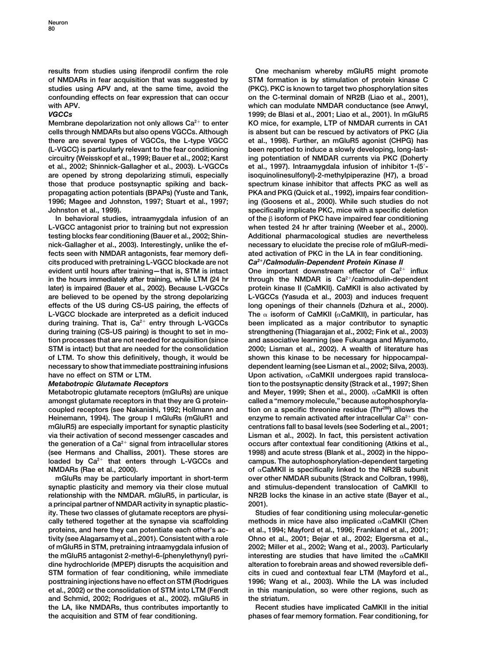**results from studies using ifenprodil confirm the role One mechanism whereby mGluR5 might promote of NMDARs in fear acquisition that was suggested by STM formation is by stimulation of protein kinase C studies using APV and, at the same time, avoid the (PKC). PKC is known to target two phosphorylation sites confounding effects on fear expression that can occur on the C-terminal domain of NR2B (Liao et al., 2001), with APV. which can modulate NMDAR conductance (see Anwyl,**

**cells through NMDARs but also opens VGCCs. Although is absent but can be rescued by activators of PKC (Jia there are several types of VGCCs, the L-type VGCC et al., 1998). Further, an mGluR5 agonist (CHPG) has (L-VGCC) is particularly relevant to the fear conditioning been reported to induce a slowly developing, long-lastcircuitry (Weisskopf et al., 1999; Bauer et al., 2002; Karst ing potentiation of NMDAR currents via PKC (Doherty et al., 2002; Shinnick-Gallagher et al., 2003). L-VGCCs et al., 1997). Intraamygdala infusion of inhibitor 1-(5are opened by strong depolarizing stimuli, especially isoquinolinesulfonyl)-2-methylpiperazine (H7), a broad those that produce postsynaptic spiking and back- spectrum kinase inhibitor that affects PKC as well as propagating action potentials (BPAPs) (Yuste and Tank, PKA and PKG (Quick et al., 1992), impairs fear condition-1996; Magee and Johnston, 1997; Stuart et al., 1997; ing (Goosens et al., 2000). While such studies do not Johnston et al., 1999).** Specifically implicate PKC, mice with a specific deletion of the specific deletion

**L-VGCC antagonist prior to training but not expression when tested 24 hr after training (Weeber et al., 2000). testing blocks fear conditioning (Bauer et al., 2002; Shin- Additional pharmacological studies are nevertheless nick-Gallagher et al., 2003). Interestingly, unlike the ef- necessary to elucidate the precise role of mGluR-medifects seen with NMDAR antagonists, fear memory defi- ated activation of PKC in the LA in fear conditioning. cits produced with pretraining L-VGCC blockade are not** *Ca2/Calmodulin-Dependent Protein Kinase II* **evident until hours after training—that is, STM is intact** One important downstream effector of Ca<sup>2+</sup> influx **in the hours immediately after training, while LTM (24 hr through the NMDAR is Ca2/calmodulin-dependent later) is impaired (Bauer et al., 2002). Because L-VGCCs protein kinase II (CaMKII). CaMKII is also activated by are believed to be opened by the strong depolarizing L-VGCCs (Yasuda et al., 2003) and induces frequent effects of the US during CS-US pairing, the effects of long openings of their channels (Dzhura et al., 2000). L-VGCC blockade are interpreted as a deficit induced The isoform of CaMKII (CaMKII), in particular, has** during training. That is, Ca<sup>2+</sup> entry through L-VGCCs been implicated as a major contributor to synaptic **during training (CS-US pairing) is thought to set in mo- strengthening (Thiagarajan et al., 2002; Fink et al., 2003) tion processes that are not needed for acquisition (since and associative learning (see Fukunaga and Miyamoto, STM is intact) but that are needed for the consolidation 2000; Lisman et al., 2002). A wealth of literature has of LTM. To show this definitively, though, it would be shown this kinase to be necessary for hippocampalnecessary to show that immediate posttraining infusions dependent learning (see Lisman et al., 2002; Silva, 2003). have no effect on STM or LTM. Upon activation, CaMKII undergoes rapid transloca-**

**Metabotropic glutamate receptors (mGluRs) are unique and Meyer, 1999; Shen et al., 2000). CaMKII is often amongst glutamate receptors in that they are G protein- called a "memory molecule," because autophosphorylation on a specific threonine residue (Thr286 coupled receptors (see Nakanishi, 1992; Hollmann and ) allows the** Heinemann, 1994). The group I mGluRs (mGluR1 and enzyme to remain activated after intracellular Ca<sup>2+</sup> con**mGluR5) are especially important for synaptic plasticity centrations fall to basal levels (see Soderling et al., 2001; via their activation of second messenger cascades and Lisman et al., 2002). In fact, this persistent activation** the generation of a Ca<sup>2+</sup> signal from intracellular stores occurs after contextual fear conditioning (Atkins et al., **(see Hermans and Challiss, 2001). These stores are 1998) and acute stress (Blank et al., 2002) in the hippoloaded by Ca<sup>2+</sup> that enters through L-VGCCs and campus. The autophosphorylation-dependent targeting** 

**synaptic plasticity and memory via their close mutual and stimulus-dependent translocation of CaMKII to relationship with the NMDAR. mGluR5, in particular, is NR2B locks the kinase in an active state (Bayer et al., a principal partner of NMDAR activity in synaptic plastic- 2001). ity. These two classes of glutamate receptors are physi- Studies of fear conditioning using molecular-genetic** cally tethered together at the synapse via scaffolding methods in mice have also implicated  $\alpha$ CaMKII (Chen **proteins, and here they can potentiate each other's ac- et al., 1994; Mayford et al., 1996; Frankland et al., 2001; tivity (see Alagarsamy et al., 2001). Consistent with a role Ohno et al., 2001; Bejar et al., 2002; Elgersma et al., of mGluR5 in STM, pretraining intraamygdala infusion of 2002; Miller et al., 2002; Wang et al., 2003). Particularly the mGluR5 antagonist 2-methyl-6-(phenylethynyl) pyri- interesting are studies that have limited the CaMKII dine hydrochloride (MPEP) disrupts the acquisition and alteration to forebrain areas and showed reversible defi-**STM formation of fear conditioning, while immediate cits in cued and contextual fear LTM (Mayford et al., **posttraining injections have no effect on STM (Rodrigues 1996; Wang et al., 2003). While the LA was included et al., 2002) or the consolidation of STM into LTM (Fendt in this manipulation, so were other regions, such as and Schmid, 2002; Rodrigues et al., 2002). mGluR5 in the striatum. the LA, like NMDARs, thus contributes importantly to Recent studies have implicated CaMKII in the initial the acquisition and STM of fear conditioning. phases of fear memory formation. Fear conditioning, for**

*VGCCs* **1999; de Blasi et al., 2001; Liao et al., 2001). In mGluR5** Membrane depolarization not only allows Ca<sup>2+</sup> to enter KO mice, for example, LTP of NMDAR currents in CA1 et al., 1997). Intraamygdala infusion of inhibitor 1-(5<sup>'</sup>-**In behavioral studies, intraamygdala infusion of an of the isoform of PKC have impaired fear conditioning**

*Metabotropic Glutamate Receptors* **tion to the postsynaptic density (Strack et al., 1997; Shen NMDARs (Rae et al., 2000). of CaMKII is specifically linked to the NR2B subunit mGluRs may be particularly important in short-term over other NMDAR subunits (Strack and Colbran, 1998),**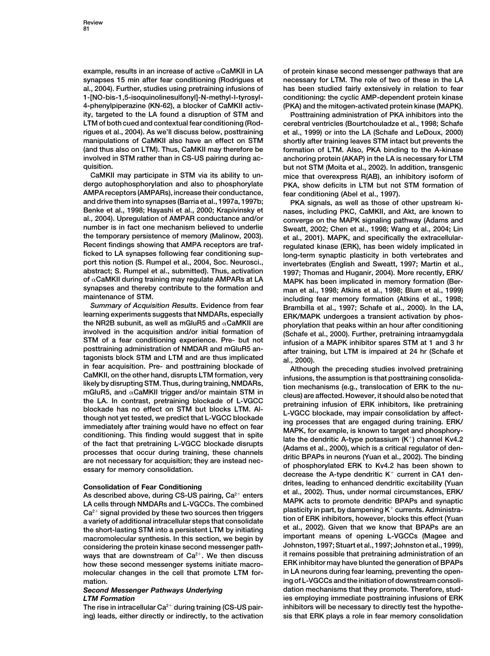**example, results in an increase of active CaMKII in LA of protein kinase second messenger pathways that are synapses 15 min after fear conditioning (Rodrigues et necessary for LTM. The role of two of these in the LA al., 2004). Further, studies using pretraining infusions of has been studied fairly extensively in relation to fear 1-[NO-bis-1,5-isoquinolinesulfonyl]-N-methyl-l-tyrosyl- conditioning: the cyclic AMP-dependent protein kinase 4-phenylpiperazine (KN-62), a blocker of CaMKII activ- (PKA) and the mitogen-activated protein kinase (MAPK). ity, targeted to the LA found a disruption of STM and Posttraining administration of PKA inhibitors into the LTM of both cued and contextual fear conditioning (Rod- cerebral ventricles (Bourtchouladze et al., 1998; Schafe rigues et al., 2004). As we'll discuss below, posttraining et al., 1999) or into the LA (Schafe and LeDoux, 2000) manipulations of CaMKII also have an effect on STM shortly after training leaves STM intact but prevents the (and thus also on LTM). Thus, CaMKII may therefore be formation of LTM. Also, PKA binding to the A-kinase**

**CaMKII may participate in STM via its ability to un- mice that overexpress R(AB), an inhibitory isoform of AMPA receptors (AMPARs), increase their conductance, fear conditioning (Abel et al., 1997). Benke et al., 1998; Hayashi et al., 2000; Krapivinsky et nases, including PKC, CaMKII, and Akt, are known to al., 2004). Upregulation of AMPAR conductance and/or converge on the MAPK signaling pathway (Adams and number is in fact one mechanism believed to underlie Sweatt, 2002; Chen et al., 1998; Wang et al., 2004; Lin the temporary persistence of memory (Malinow, 2003). et al., 2001). MAPK, and specifically the extracellular-Recent findings showing that AMPA receptors are traf- regulated kinase (ERK), has been widely implicated in ficked to LA synapses following fear conditioning sup- long-term synaptic plasticity in both vertebrates and port this notion (S. Rumpel et al., 2004, Soc. Neurosci., invertebrates (English and Sweatt, 1997; Martin et al., abstract; S. Rumpel et al., submitted). Thus, activation 1997; Thomas and Huganir, 2004). More recently, ERK/ of CaMKII during training may regulate AMPARs at LA MAPK has been implicated in memory formation (Bersynapses and thereby contribute to the formation and man et al., 1998; Atkins et al., 1998; Blum et al., 1999)**

learning experiments suggests that NMDARs, especially<br>
the NR2B subunit, as well as medium for same involved in the acquisition and/or initial formation of<br>
(Schafe et al., 2000). Further, pretraining intraamygdial<br>
STM of

LA cells through NMDARs and L-VGCCs. The combined<br>Ca<sup>2+</sup> signal provided by these two sources then triggers<br>a variety of additional intracellular steps that consolidate<br>the short-lasting STM into a persistent LTM by initi **macromolecular synthesis. In this section, we begin by important means of opening L-VGCCs (Magee and Johnston, 1997; Stuart et al., 1997; Johnston et al., 1999), considering the protein kinase second messenger pathways that are downstream of Ca<sup>2+</sup>. We then discuss how these second messenger systems initiate macro- ERK inhibitor may have blunted the generation of BPAPs molecular changes in the cell that promote LTM for- in LA neurons during fear learning, preventing the open-**

The rise in intracellular Ca<sup>2+</sup> during training (CS-US pair- inhibitors will be necessary to directly test the hypothe**ing) leads, either directly or indirectly, to the activation sis that ERK plays a role in fear memory consolidation**

anchoring protein (AKAP) in the LA is necessary for LTM **quisition. but not STM (Moita et al., 2002). In addition, transgenic** PKA, show deficits in LTM but not STM formation of

PKA signals, as well as those of other upstream ki**maintenance of STM. including fear memory formation (Atkins et al., 1998;** *Summary of Acquisition Results***. Evidence from fear Brambilla et al., 1997; Schafe et al., 2000). In the LA,**

Consolidation of Fear Conditioning<br>As described above, during CS-US pairing, Ca<sup>2+</sup> enters et al., 2002). Thus, under normal circumstances, ERK/<br>A sella through NADARs and L.VCCCs. The combined MAPK acts to promote dendrit **mation. ing of L-VGCCs and the initiation of downstream consoli-***Second Messenger Pathways Underlying* **dation mechanisms that they promote. Therefore, stud-***LTM Formation* **ies employing immediate posttraining infusions of ERK**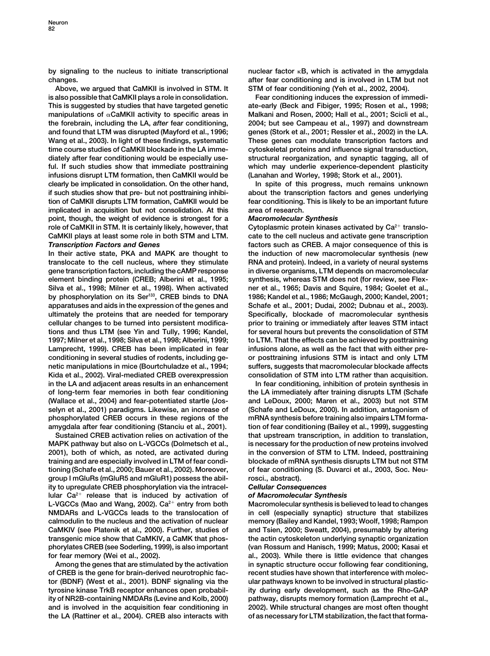**by signaling to the nucleus to initiate transcriptional nuclear factor B, which is activated in the amygdala changes. after fear conditioning and is involved in LTM but not**

Above, we argued that CaMKII is involved in STM. It STM of fear conditioning (Yeh et al., 2002, 2004). **is also possible that CaMKII plays a role in consolidation. Fear conditioning induces the expression of immedi-This is suggested by studies that have targeted genetic ate-early (Beck and Fibiger, 1995; Rosen et al., 1998; manipulations of CaMKII activity to specific areas in Malkani and Rosen, 2000; Hall et al., 2001; Scicli et al., the forebrain, including the LA,** *after* **fear conditioning, 2004; but see Campeau et al., 1997) and downstream and found that LTM was disrupted (Mayford et al., 1996; genes (Stork et al., 2001; Ressler et al., 2002) in the LA. Wang et al., 2003). In light of these findings, systematic These genes can modulate transcription factors and time course studies of CaMKII blockade in the LA imme- cytoskeletal proteins and influence signal transduction, diately after fear conditioning would be especially use- structural reorganization, and synaptic tagging, all of ful. If such studies show that immediate posttraining which may underlie experience-dependent plasticity infusions disrupt LTM formation, then CaMKII would be (Lanahan and Worley, 1998; Stork et al., 2001). clearly be implicated in consolidation. On the other hand, In spite of this progress, much remains unknown if such studies show that pre- but not posttraining inhibi- about the transcription factors and genes underlying tion of CaMKII disrupts LTM formation, CaMKII would be fear conditioning. This is likely to be an important future implicated in acquisition but not consolidation. At this area of research. point, though, the weight of evidence is strongest for a** *Macromolecular Synthesis* role of CaMKII in STM. It is certainly likely, however, that Cytoplasmic protein kinases activated by Ca<sup>2+</sup> translo-**CaMKII plays at least some role in both STM and LTM. cate to the cell nucleus and activate gene transcription** *Transcription Factors and Genes* **<b>***factors 30 mm factors such as CREB. A major consequence of this is* 

**translocate to the cell nucleus, where they stimulate RNA and protein). Indeed, in a variety of neural systems gene transcription factors, including the cAMP response in diverse organisms, LTM depends on macromolecular** element binding protein (CREB; Alberini et al., 1995; synthesis, whereas STM does not (for review, see Flex-**Silva et al., 1998; Milner et al., 1998). When activated ner et al., 1965; Davis and Squire, 1984; Goelet et al., by phosphorylation on its Ser133, CREB binds to DNA 1986; Kandel et al., 1986; McGaugh, 2000; Kandel, 2001; apparatuses and aids in the expression of the genes and Schafe et al., 2001; Dudai, 2002; Dubnau et al., 2003). ultimately the proteins that are needed for temporary Specifically, blockade of macromolecular synthesis cellular changes to be turned into persistent modifica- prior to training or immediately after leaves STM intact** tions and thus LTM (see Yin and Tully, 1996; Kandel, for several hours but prevents the consolidation of STM **1997; Milner et al., 1998; Silva et al., 1998; Alberini, 1999; to LTM. That the effects can be achieved by posttraining Lamprecht, 1999). CREB has been implicated in fear infusions alone, as well as the fact that with either preconditioning in several studies of rodents, including ge- or posttraining infusions STM is intact and only LTM netic manipulations in mice (Bourtchuladze et al., 1994; suffers, suggests that macromolecular blockade affects Kida et al., 2002). Viral-mediated CREB overexpression consolidation of STM into LTM rather than acquisition. in the LA and adjacent areas results in an enhancement In fear conditioning, inhibition of protein synthesis in of long-term fear memories in both fear conditioning the LA immediately after training disrupts LTM (Schafe (Wallace et al., 2004) and fear-potentiated startle (Jos- and LeDoux, 2000; Maren et al., 2003) but not STM selyn et al., 2001) paradigms. Likewise, an increase of (Schafe and LeDoux, 2000). In addition, antagonism of phosphorylated CREB occurs in these regions of the mRNA synthesis before training also impairs LTM formaamygdala after fear conditioning (Stanciu et al., 2001). tion of fear conditioning (Bailey et al., 1999), suggesting**

**MAPK pathway but also on L-VGCCs (Dolmetsch et al., is necessary for the production of new proteins involved 2001), both of which, as noted, are activated during in the conversion of STM to LTM. Indeed, posttraining training and are especially involved in LTM of fear condi- blockade of mRNA synthesis disrupts LTM but not STM** tioning (Schafe et al., 2000; Bauer et al., 2002). Moreover, of fear conditioning (S. Duvarci et al., 2003, Soc. Neu**group I mGluRs (mGluR5 and mGluR1) possess the abil- rosci., abstract). ity to upregulate CREB phosphorylation via the intracel-** *Cellular Consequences* lular Ca<sup>2+</sup> release that is induced by activation of of Macromolecular Synthesis L-VGCCs (Mao and Wang, 2002). Ca<sup>2+</sup> entry from both Macromolecular synthesis is believed to lead to changes **NMDARs and L-VGCCs leads to the translocation of in cell (especially synaptic) structure that stabilizes calmodulin to the nucleus and the activation of nuclear memory (Bailey and Kandel, 1993; Woolf, 1998; Rampon CaMKIV (see Platenik et al., 2000). Further, studies of and Tsien, 2000; Sweatt, 2004), presumably by altering transgenic mice show that CaMKIV, a CaMK that phos- the actin cytoskeleton underlying synaptic organization phorylates CREB (see Soderling, 1999), is also important (van Rossum and Hanisch, 1999; Matus, 2000; Kasai et** for fear memory (Wei et al., 2002). **All., 2003**). While there is little evidence that changes

**of CREB is the gene for brain-derived neurotrophic fac- recent studies have shown that interference with molector (BDNF) (West et al., 2001). BDNF signaling via the ular pathways known to be involved in structural plastictyrosine kinase TrkB receptor enhances open probabil- ity during early development, such as the Rho-GAP ity of NR2B-containing NMDARs (Levine and Kolb, 2000) pathway, disrupts memory formation (Lamprecht et al., and is involved in the acquisition fear conditioning in 2002). While structural changes are most often thought the LA (Rattiner et al., 2004). CREB also interacts with of as necessary for LTM stabilization, the fact that forma-**

**In their active state, PKA and MAPK are thought to the induction of new macromolecular synthesis (new**

**Sustained CREB activation relies on activation of the that upstream transcription, in addition to translation,**

**Among the genes that are stimulated by the activation in synaptic structure occur following fear conditioning,**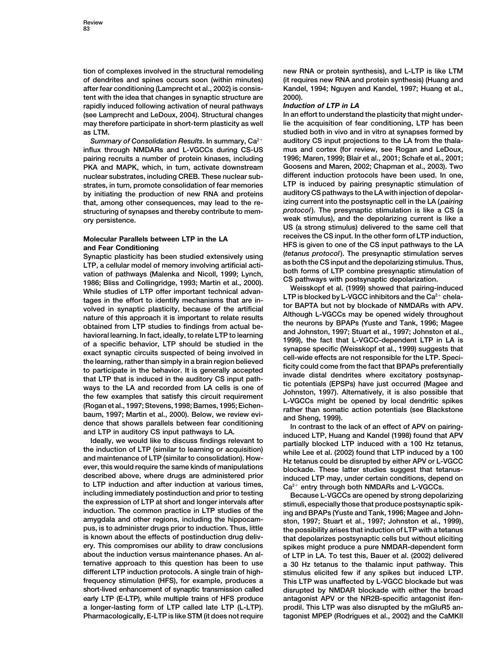**tion of complexes involved in the structural remodeling new RNA or protein synthesis), and L-LTP is like LTM of dendrites and spines occurs soon (within minutes) (it requires new RNA and protein synthesis) (Huang and after fear conditioning (Lamprecht et al., 2002) is consis- Kandel, 1994; Nguyen and Kandel, 1997; Huang et al., tent with the idea that changes in synaptic structure are 2000). rapidly induced following activation of neural pathways** *Induction of LTP in LA* **(see Lamprecht and LeDoux, 2004). Structural changes In an effort to understand the plasticity that might undermay therefore participate in short-term plasticity as well lie the acquisition of fear conditioning, LTP has been as LTM. studied both in vivo and in vitro at synapses formed by**

**influx through NMDARs and L-VGCCs during CS-US mus and cortex (for review, see Rogan and LeDoux, pairing recruits a number of protein kinases, including 1996; Maren, 1999; Blair et al., 2001; Schafe et al., 2001; PKA and MAPK, which, in turn, activate downstream Goosens and Maren, 2002; Chapman et al., 2003). Two nuclear substrates, including CREB. These nuclear sub- different induction protocols have been used. In one, strates, in turn, promote consolidation of fear memories LTP is induced by pairing presynaptic stimulation of by initiating the production of new RNA and proteins auditory CS pathways to the LA with injection of depolarthat, among other consequences, may lead to the re- izing current into the postsynaptic cell in the LA (***pairing* **structuring of synapses and thereby contribute to mem-** *protocol***). The presynaptic stimulation is like a CS (a ory persistence. weak stimulus), and the depolarizing current is like a**

1986; Bliss and Collingridge, 1993; Martin et al., 2000).<br>While studies of LTP offer important technical advan-<br>tage in the offert to identify meabonisms that are in **LTP** is blocked by L-VGCC inhibitors and the Ca<sup>2+</sup> che times in the effect is since that the active of the article of the cast of the case in the effort to identify mechanisms that are in-<br>
Urb BaDrZA but not by blockade of NNDARs with APV,<br>
volved in synaptic plasticity, beca

**induction. The common practice in LTP studies of the ing and BPAPs (Yuste and Tank, 1996; Magee and John-**<br>
induction. The common practice in LTP studies of the **ing and BPAPs (Yuste and Tank, 1996; Magee and John-**<br>
am **pus, is to administer drugs prior to induction. Thus, little the possibility arises that induction of LTP with a tetanus ery. This compromises our ability to draw conclusions spikes might produce a pure NMDAR-dependent form ternative approach to this question has been to use a 30 Hz tetanus to the thalamic input pathway. This different LTP induction protocols. A single train of high- stimulus elicited few if any spikes but induced LTP. frequency stimulation (HFS), for example, produces a This LTP was unaffected by L-VGCC blockade but was short-lived enhancement of synaptic transmission called disrupted by NMDAR blockade with either the broad early LTP (E-LTP), while multiple trains of HFS produce antagonist APV or the NR2B-specific antagonist ifena longer-lasting form of LTP called late LTP (L-LTP). prodil. This LTP was also disrupted by the mGluR5 an-**

*Summary of Consolidation Results***. In summary, Ca auditory CS input projections to the LA from the thala- <sup>2</sup> US (a strong stimulus) delivered to the same cell that Molecular Parallels between LTP in the LA receives the CS input. In the other form of LTP induction,** and Fear Conditioning<br>
Synaptic plasticity has been studied extensively using<br>
LTP, a cellular model of memory involving artificial acti-<br>
vation of pathways (Malenka and Nicoll, 1999; Lynch,<br>
1986; Bliss and Collingridge,

**amygdala and other regions, including the hippocam- ston, 1997; Stuart et al., 1997; Johnston et al., 1999), is known about the effects of postinduction drug deliv- that depolarizes postsynaptic cells but without eliciting** of LTP in LA. To test this, Bauer et al. (2002) delivered **Pharmacologically, E-LTP is like STM (it does not require tagonist MPEP (Rodrigues et al., 2002) and the CaMKII**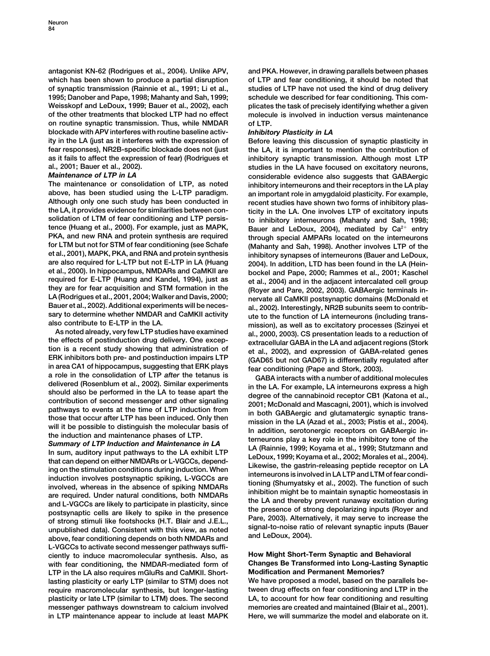**antagonist KN-62 (Rodrigues et al., 2004). Unlike APV, and PKA. However, in drawing parallels between phases which has been shown to produce a partial disruption of LTP and fear conditioning, it should be noted that of synaptic transmission (Rainnie et al., 1991; Li et al., studies of LTP have not used the kind of drug delivery 1995; Danober and Pape, 1998; Mahanty and Sah, 1999; schedule we described for fear conditioning. This com-Weisskopf and LeDoux, 1999; Bauer et al., 2002), each plicates the task of precisely identifying whether a given of the other treatments that blocked LTP had no effect molecule is involved in induction versus maintenance on routine synaptic transmission. Thus, while NMDAR of LTP. blockade with APV interferes with routine baseline activ-** *Inhibitory Plasticity in LA* **ity in the LA (just as it interferes with the expression of Before leaving this discussion of synaptic plasticity in fear responses), NR2B-specific blockade does not (just the LA, it is important to mention the contribution of as it fails to affect the expression of fear) (Rodrigues et inhibitory synaptic transmission. Although most LTP**

**The maintenance or consolidation of LTP, as noted inhibitory interneurons and their receptors in the LA play above, has been studied using the L-LTP paradigm. an important role in amygdaloid plasticity. For example, Although only one such study has been conducted in recent studies have shown two forms of inhibitory plasthe LA, it provides evidence for similarities between con- ticity in the LA. One involves LTP of excitatory inputs solidation of LTM of fear conditioning and LTP persis- to inhibitory interneurons (Mahanty and Sah, 1998; PKA, and new RNA and protein synthesis are required through special AMPARs located on the interneurons for LTM but not for STM of fear conditioning (see Schafe (Mahanty and Sah, 1998). Another involves LTP of the et al., 2001), MAPK, PKA, and RNA and protein synthesis inhibitory synapses of interneurons (Bauer and LeDoux, are also required for L-LTP but not E-LTP in LA (Huang 2004). In addition, LTD has been found in the LA (Heinet al., 2000). In hippocampus, NMDARs and CaMKII are bockel and Pape, 2000; Rammes et al., 2001; Kaschel required for E-LTP (Huang and Kandel, 1994), just as et al., 2004) and in the adjacent intercalated cell group**

**L-VGCCs to activate second messenger pathways sufficiently to induce macromolecular synthesis. Also, as How Might Short-Term Synaptic and Behavioral** with fear conditioning, the NMDAR-mediated form of **LTP in the LA also requires mGluRs and CaMKII. Short- Modification and Permanent Memories? lasting plasticity or early LTP (similar to STM) does not We have proposed a model, based on the parallels berequire macromolecular synthesis, but longer-lasting tween drug effects on fear conditioning and LTP in the plasticity or late LTP (similar to LTM) does. The second LA, to account for how fear conditioning and resulting messenger pathways downstream to calcium involved memories are created and maintained (Blair et al., 2001).** in LTP maintenance appear to include at least MAPK Here, we will summarize the model and elaborate on it.

**al., 2001; Bauer et al., 2002). studies in the LA have focused on excitatory neurons,** *Maintenance of LTP in LA* **considerable evidence also suggests that GABAergic** Bauer and LeDoux, 2004), mediated by Ca<sup>2+</sup> entry they are for fear acquisition and STM formation in the<br>
LA (Rodrigues et al., 2001, 2004; Walker and Davis, 2000;<br>
Bauer et al., 2002). Additional experiments will be neces-<br>
sary to determine whether NMDAR and CaMKII acti

delivered (Rosenblum et al., 2002). Similar experiments<br>
should also be performed in the LA. For example, LA interneurons express a high<br>
should also be performed in the LA to tease apart the<br>
contribution of second messen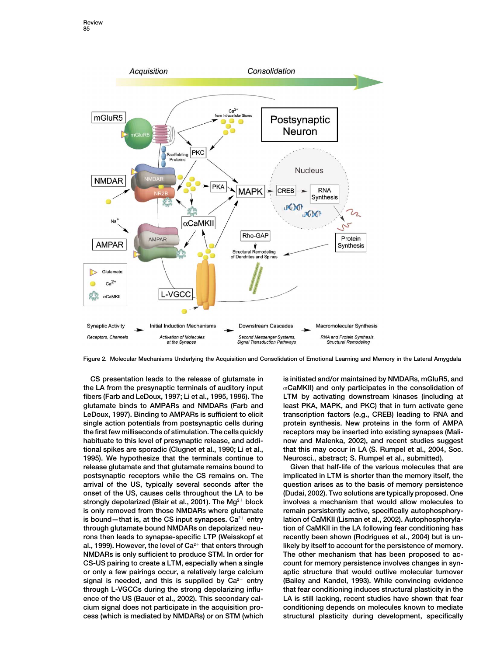

**Figure 2. Molecular Mechanisms Underlying the Acquisition and Consolidation of Emotional Learning and Memory in the Lateral Amygdala**

**the LA from the presynaptic terminals of auditory input CaMKII) and only participates in the consolidation of fibers (Farb and LeDoux, 1997; Li et al., 1995, 1996). The LTM by activating downstream kinases (including at glutamate binds to AMPARs and NMDARs (Farb and least PKA, MAPK, and PKC) that in turn activate gene LeDoux, 1997). Binding to AMPARs is sufficient to elicit transcription factors (e.g., CREB) leading to RNA and single action potentials from postsynaptic cells during protein synthesis. New proteins in the form of AMPA the first few milliseconds of stimulation. The cells quickly receptors may be inserted into existing synapses (Malihabituate to this level of presynaptic release, and addi- now and Malenka, 2002), and recent studies suggest tional spikes are sporadic (Clugnet et al., 1990; Li et al., that this may occur in LA (S. Rumpel et al., 2004, Soc. 1995). We hypothesize that the terminals continue to Neurosci., abstract; S. Rumpel et al., submitted). release glutamate and that glutamate remains bound to Given that half-life of the various molecules that are postsynaptic receptors while the CS remains on. The implicated in LTM is shorter than the memory itself, the arrival of the US, typically several seconds after the question arises as to the basis of memory persistence onset of the US, causes cells throughout the LA to be (Dudai, 2002). Two solutions are typically proposed. One strongly depolarized (Blair et al., 2001). The Mg<sup>2+</sup> block involves a mechanism that would allow molecules to is only removed from those NMDARs where glutamate remain persistently active, specifically autophosphory**is bound—that is, at the CS input synapses. Ca<sup>2+</sup> entry lation of CaMKII (Lisman et al., 2002). Autophosphoryla**through glutamate bound NMDARs on depolarized neu- tion of CaMKII in the LA following fear conditioning has** rons then leads to synapse-specific LTP (Weisskopf et recently been shown (Rodrigues et al., 2004) but is unal., 1999). However, the level of Ca<sup>2+</sup> that enters through likely by itself to account for the persistence of memory. **NMDARs is only sufficient to produce STM. In order for The other mechanism that has been proposed to ac-CS-US pairing to create a LTM, especially when a single count for memory persistence involves changes in synor only a few pairings occur, a relatively large calcium aptic structure that would outlive molecular turnover** signal is needed, and this is supplied by Ca<sup>2+</sup> entry (Bailey and Kandel, 1993). While convincing evidence **through L-VGCCs during the strong depolarizing influ- that fear conditioning induces structural plasticity in the ence of the US (Bauer et al., 2002). This secondary cal- LA is still lacking, recent studies have shown that fear cium signal does not participate in the acquisition pro- conditioning depends on molecules known to mediate cess (which is mediated by NMDARs) or on STM (which structural plasticity during development, specifically**

**CS presentation leads to the release of glutamate in is initiated and/or maintained by NMDARs, mGluR5, and**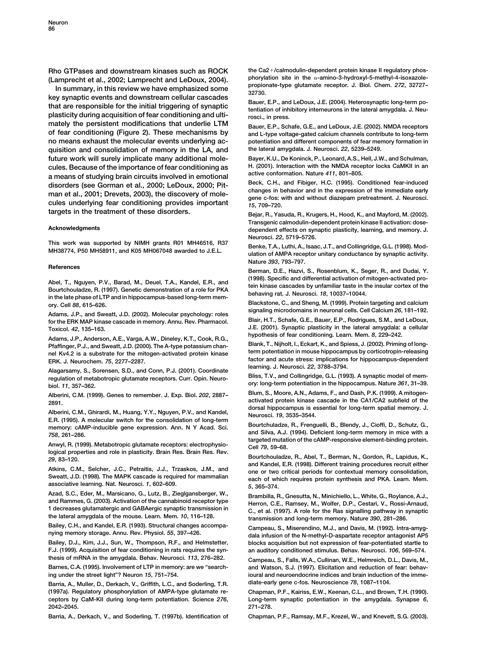Rho GTPases and downstream kinases such as ROCK the Ca2<sup>+</sup>/calmodulin-dependent protein kinase II regulatory phos-<br>(I amprecht et al. 2002: Lamprecht and LeDoux 2004) phorylation site in the *α*-amino-3-hydroxyl-5-methyl-4

(Lamprecht et al., 2002; Lamprecht and LeDoux, 2004). In summary, in this review we have emphasized some<br>
let us summary, in this review we have emphasized some<br>
let us synaptic events and downstream cellular cascades<br>
th **mately the persistent modifications that underlie LTM Bauer, E.P., Schafe, G.E., and LeDoux, J.E. (2002). NMDA receptors of fear conditioning (Figure 2). These mechanisms by and L-type voltage-gated calcium channels contribute to long-term no means exhaust the molecular events underlying ac- potentiation and different components of fear memory formation in quisition and consolidation of memory in the LA, and the lateral amygdala. J. Neurosci.** *22***, 5239–5249. future work will surely implicate many additional mole- Bayer, K.U., De Koninck, P., Leonard, A.S., Hell, J.W., and Schulman,** cules. Because of the importance of fear conditioning as FL (2001). Interaction with the NMDA receptor locks CaMKII in an<br>a means of studying brain circuits involved in emotional active conformation. Nature 411, 801–805.<br>d disorders (see Gorman et al., 2000; LeDoux, 2000; Pit-<br>man et al., 2001; Drevets, 2003), the discovery of mole-<br>cules underlying fear conditioning provides important<br>targets in the treatment of these disorders.<br>curve by t

Adams, J.P., and Sweatt, J.D. (2002). Molecular psychology: roles<br>for the ERK MAP kinase cascade in memory. Annu. Rev. Pharmacol.<br>Toxicol. 42, 135–163.<br>Toxicol. 42, 135–163.<br>Intervention of the lateral anguals: a cellular<br>

Alagarsamy, S., Sorensen, S.D., and Conn, P.J. (2001). Coordinate<br>regulation of metabotropic glutamate receptors. Curr. Opin. Neuro-<br>biol. 11. 357–362.<br>ory: long-term potentiation in the hippocampus. Nature 361, 31–39.

Azad, S.C., Eder, M., Marsicano, G., Lutz, B., Zieglgansberger, W.,<br>
and Rammes, G. (2003). Activation of the cannabinoid receptor type<br>
1 decreases glutamatergic and GABAergic synaptic transmission in<br>
1 decreases glutama

**F.J. (1999). Acquisition of fear conditioning in rats requires the syn- an auditory conditioned stimulus. Behav. Neurosci.** *106***, 569–574. thesis of mRNA in the amygdala. Behav. Neurosci.** *113***, 276–282. Campeau, S., Falls, W.A., Cullinan, W.E., Helmreich, D.L., Davis, M.,**

**Barria, A., Muller, D., Derkach, V., Griffith, L.C., and Soderling, T.R. diate-early gene c-fos. Neuroscience** *78***, 1087–1104. (1997a). Regulatory phosphorylation of AMPA-type glutamate re- Chapman, P.F., Kairiss, E.W., Keenan, C.L., and Brown, T.H. (1990). ceptors by CaM-KII during long-term potentiation. Science** *276***, Long-term synaptic potentiation in the amygdala. Synapse** *6***, 2042–2045. 271–278.**

**Barria, A., Derkach, V., and Soderling, T. (1997b). Identification of Chapman, P.F., Ramsay, M.F., Krezel, W., and Knevett, S.G. (2003).**

Bejar, R., Yasuda, R., Krugers, H., Hood, K., and Mayford, M. (2002). **Transgenic calmodulin-dependent protein kinase II activation: dose-Acknowledgments dependent effects on synaptic plasticity, learning, and memory. J. Neurosci.** *22***, 5719–5726.**

This work was supported by NIMH grants R01 MH46516, R37<br>MH38774, P50 MH58911, and K05 MH067048 awarded to J.E.L.<br>ulation of AMPA receptor unitary conductance by synaptic activity. **Nature** *393***, 793–797.**

**References Berman, D.E., Hazvi, S., Rosenblum, K., Seger, R., and Dudai, Y.** Abel, T., Nguyen, P.V., Barad, M., Deuel, T.A., Kandel, E.R., and (1998). Specific and differential activation of mitogen-activated pro-<br>Bourtchouladze, R. (1997). Genetic demonstration of a role for PKA binase cascades by

**ory. Cell** *88***, 615–626. Blackstone, C., and Sheng, M. (1999). Protein targeting and calcium**

Adams, J.P., Anderson, A.E., Varga, A.W., Dineley, K.T., Cook, R.G.,<br>
Pfaffinger, P.J., and Sweatt, J.D. (2000). The A-type potassium channel Blank, T., Nijholit, I., Eckart, K., and Spiess, J. (2002). Priming of long-<br>
em

Alberini, C.M. (1999). Genes to remember. J. Exp. Biol. 202, 2887-<br>2891. activated protein kinase cascade in the CA1/CA2 subfield of the<br>Alberia: O.M. Objactii, M. Usana XX. Narana DV. and Kandal. dorsal hippocampus is ess

Alberini, C.M., Ghirardi, M., Huang, Y.Y., Nguyen, P.V., and Kandel,<br>
E.R. (1995). A molecular switch for the consolidation of long-term<br>
memory: cAMP-inducible gene expression. Ann. N Y Acad. Sci.<br>
To and Silva, A.J. (199

Balley, C.H., and Kandel, E.H. (1993). Structural changes accompa-<br>nying memory storage. Annu. Rev. Physiol. 55, 397–426. <br>Bailey, D.J., Kim, J.J., Sun, W., Thompson, R.F., and Helmstetter, blocks acquisition but not expre **Bailey, D.J., Kim, J.J., Sun, W., Thompson, R.F., and Helmstetter, blocks acquisition but not expression of fear-potentiated startle to**

**Barnes, C.A. (1995). Involvement of LTP in memory: are we "search- and Watson, S.J. (1997). Elicitation and reduction of fear: behaving under the street light"? Neuron** *15***, 751–754. ioural and neuroendocrine indices and brain induction of the imme-**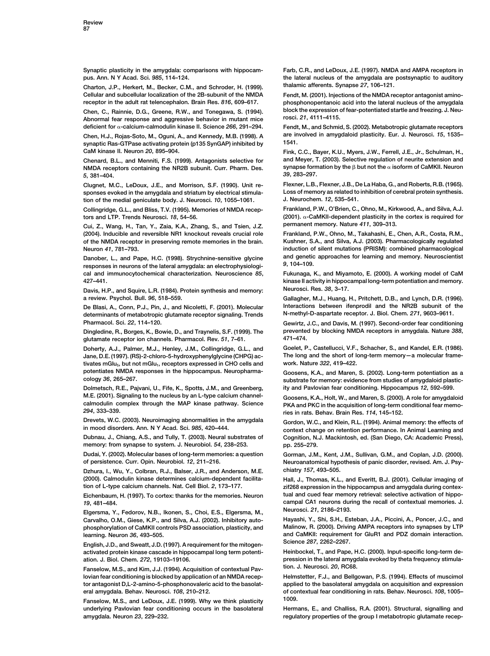**Synaptic plasticity in the amygdala: comparisons with hippocam- Farb, C.R., and LeDoux, J.E. (1997). NMDA and AMPA receptors in**

**Charton, J.P., Herkert, M., Becker, C.M., and Schroder, H. (1999). thalamic afferents. Synapse** *27***, 106–121. Cellular and subcellular localization of the 2B-subunit of the NMDA Fendt, M. (2001). Injections of the NMDA receptor antagonist amino-**

Abnormal fear response and aggressive behavior in mutant mice

synaptic Ras-GTPase activating protein (p135 SynGAP) inhibited by **CaM kinase II. Neuron** *20***, 895–904. Fink, C.C., Bayer, K.U., Myers, J.W., Ferrell, J.E., Jr., Schulman, H.,**

**NMDA receptors containing the NR2B subunit. Curr. Pharm. Des.** *5 39***, 283–297. , 381–404.**

**sponses evoked in the amygdala and striatum by electrical stimula- Loss of memory as related to inhibition of cerebral protein synthesis. tion of the medial geniculate body. J. Neurosci.** *10* **J. Neurochem.** *12***, 535–541. , 1055–1061.**

**tors and LTP. Trends Neurosci.** *18***, 54–56. (2001). -CaMKII-dependent plasticity in the cortex is required for**

Cui, Z., Wang, H., Tan, Y., Zaia, K.A., Zhang, S., and Tsien, J.Z. Permanent memory. Nature 411, 309-313. **(2004). Inducible and reversible NR1 knockout reveals crucial role Frankland, P.W., Ohno, M., Takahashi, E., Chen, A.R., Costa, R.M., of the NMDA receptor in preserving remote memories in the brain. Kushner, S.A., and Silva, A.J. (2003). Pharmacologically regulated Neuron** *41***, 781–793. induction of silent mutations (PRISM): combined pharmacological**

*9***, 104–109. responses in neurons of the lateral amygdala: an electrophysiological and immunocytochemical characterization. Neuroscience** *85***, Fukunaga, K., and Miyamoto, E. (2000). A working model of CaM 427–441. kinase II activity in hippocampal long-term potentiation and memory.**

**Davis, H.P., and Squire, L.R. (1984). Protein synthesis and memory: Neurosci. Res.** *38***, 3–17. a review. Psychol. Bull.** *96***, 518–559. Gallagher, M.J., Huang, H., Pritchett, D.B., and Lynch, D.R. (1996).**

**determinants of metabotropic glutamate receptor signaling. Trends N-methyl-D-aspartate receptor. J. Biol. Chem.** *271***, 9603–9611. Pharmacol. Sci.** *22***, 114–120. Gewirtz, J.C., and Davis, M. (1997). Second-order fear conditioning**

**glutamate receptor ion channels. Pharmacol. Rev.** *51* **471–474. , 7–61.**

**Jane, D.E. (1997). (RS)-2-chloro-5-hydroxyphenylglycine (CHPG) ac- The long and the short of long-term memory—a molecular frame** $t$ ivates mGlu<sub>5</sub>, but not mGlu<sub>1</sub>, receptors expressed in CHO cells and **potentiates NMDA responses in the hippocampus. Neuropharma- Goosens, K.A., and Maren, S. (2002). Long-term potentiation as a**

**Dolmetsch, R.E., Pajvani, U., Fife, K., Spotts, J.M., and Greenberg, ity and Pavlovian fear conditioning. Hippocampus** *12***, 592–599. M.E. (2001). Signaling to the nucleus by an L-type calcium channel- Goosens, K.A., Holt, W., and Maren, S. (2000). A role for amygdaloid calmodulin complex through the MAP kinase pathway. Science PKA and PKC in the acquisition of long-term conditional fear memo-**

*294***, 333–339. ries in rats. Behav. Brain Res.** *114***, 145–152.**

**memory: from synapse to system. J. Neurobiol.** *54***, 238–253. pp. 255–279.**

**Dudai, Y. (2002). Molecular bases of long-term memories: a question Gorman, J.M., Kent, J.M., Sullivan, G.M., and Coplan, J.D. (2000).**

**Dzhura, I., Wu, Y., Colbran, R.J., Balser, J.R., and Anderson, M.E. chiatry** *157***, 493–505. (2000). Calmodulin kinase determines calcium-dependent facilita- Hall, J., Thomas, K.L., and Everitt, B.J. (2001). Cellular imaging of**

**Neurosci.** *<sup>21</sup>***, 2186–2193. Elgersma, Y., Fedorov, N.B., Ikonen, S., Choi, E.S., Elgersma, M.,**

English, J.D., and Sweatt, J.D. (1997). A requirement for the mitogen-<br>activated protein kinase cascade in hippocampal long term potenti-<br>Heinbockel, T., and Pape, H.C. (2000). Input-specific long-term deactivated protein kinase cascade in hippocampal long term potenti-

Fanselow, M.S., and Kim, J.J. (1994). Acquisition of contextual Pav-

**1009. Fanselow, M.S., and LeDoux, J.E. (1999). Why we think plasticity amygdala. Neuron** *23***, 229–232. regulatory properties of the group I metabotropic glutamate recep-**

**pus. Ann. N Y Acad. Sci.** *985***, 114–124. the lateral nucleus of the amygdala are postsynaptic to auditory**

**receptor in the adult rat telencephalon. Brain Res.** *816***, 609–617. phosphonopentanoic acid into the lateral nucleus of the amygdala Chen, C., Rainnie, D.G., Greene, R.W., and Tonegawa, S. (1994). block the expression of fear-potentiated startle and freezing. J. Neu-**

**deficient for -calcium-calmodulin kinase II. Science** *266***, 291–294. Fendt, M., and Schmid, S. (2002). Metabotropic glutamate receptors Chen, H.J., Rojas-Soto, M., Oguni, A., and Kennedy, M.B. (1998). A are involved in amygdaloid plasticity. Eur. J. Neurosci.** *15***, 1535–**

**Chenard, B.L., and Menniti, F.S. (1999). Antagonists selective for and Meyer, T. (2003). Selective regulation of neurite extension and**

**Clugnet, M.C., LeDoux, J.E., and Morrison, S.F. (1990). Unit re- Flexner, L.B., Flexner, J.B., De La Haba, G., and Roberts, R.B. (1965).**

**Collingridge, G.L., and Bliss, T.V. (1995). Memories of NMDA recep- Frankland, P.W., O'Brien, C., Ohno, M., Kirkwood, A., and Silva, A.J.**

**Danober, L., and Pape, H.C. (1998). Strychnine-sensitive glycine and genetic approaches for learning and memory. Neuroscientist**

**De Blasi, A., Conn, P.J., Pin, J., and Nicoletti, F. (2001). Molecular Interactions between ifenprodil and the NR2B subunit of the**

**Dingledine, R., Borges, K., Bowie, D., and Traynelis, S.F. (1999). The prevented by blocking NMDA receptors in amygdala. Nature** *388***,**

**Doherty, A.J., Palmer, M.J., Henley, J.M., Collingridge, G.L., and Goelet, P., Castellucci, V.F., Schacher, S., and Kandel, E.R. (1986).**

substrate for memory: evidence from studies of amygdaloid plastic-

Drevets, W.C. (2003). Neuroimaging abnormalities in the amygdala<br>in mood disorders. Ann. N Y Acad. Sci. 985, 420–444.<br>Dubnau, J., Chiang, A.S., and Tully, T. (2003). Neural substrates of Cognition, N.J. Mackintosh, ed. (Sa **Dubnau, J., Chiang, A.S., and Tully, T. (2003). Neural substrates of Cognition, N.J. Mackintosh, ed. (San Diego, CA: Academic Press),**

**of persistence. Curr. Opin. Neurobiol.** *12***, 211–216. Neuroanatomical hypothesis of panic disorder, revised. Am. J. Psy-**

 $t$ zif268 expression in the hippocampus and amygdala during contex-**Eichenbaum, H. (1997). To cortex: thanks for the memories. Neuron tual and cued fear memory retrieval: selective activation of hippo-***19* **campal CA1 neurons during the recall of contextual memories. J. , 481–484.**

**Carvalho, O.M., Giese, K.P., and Silva, A.J. (2002). Inhibitory auto- Hayashi, Y., Shi, S.H., Esteban, J.A., Piccini, A., Poncer, J.C., and phosphorylation of CaMKII controls PSD association, plasticity, and Malinow, R. (2000). Driving AMPA receptors into synapses by LTP learning. Neuron** *36***, 493–505. and CaMKII: requirement for GluR1 and PDZ domain interaction.**

**ation. J. Biol. Chem.** *272***, 19103–19106. pression in the lateral amygdala evoked by theta frequency stimula-**

**lovian fear conditioning is blocked by application of an NMDA recep- Helmstetter, F.J., and Bellgowan, P.S. (1994). Effects of muscimol tor antagonist D,L-2-amino-5-phosphonovaleric acid to the basolat- applied to the basolateral amygdala on acquisition and expression eral amygdala. Behav. Neurosci.** *108***, 210–212. of contextual fear conditioning in rats. Behav. Neurosci.** *108***, 1005–**

**underlying Pavlovian fear conditioning occurs in the basolateral Hermans, E., and Challiss, R.A. (2001). Structural, signalling and**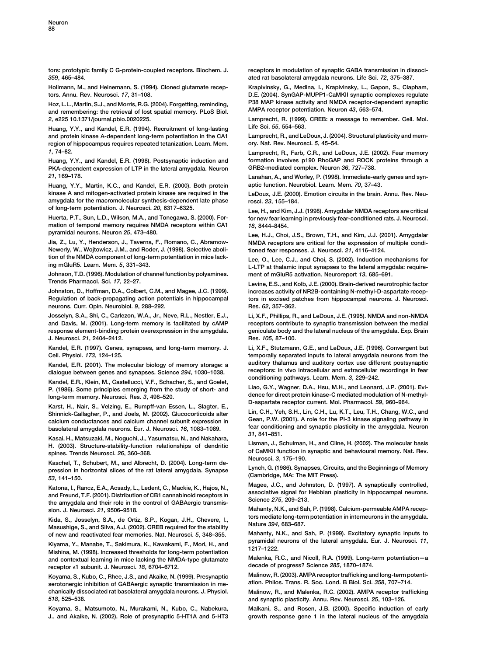*359***, 465–484. ated rat basolateral amygdala neurons. Life Sci.** *72***, 375–387.**

**Life Sci.** *55***, 554–563. Huang, Y.Y., and Kandel, E.R. (1994). Recruitment of long-lasting and protein kinase A-dependent long-term potentiation in the CA1 Lamprecht, R., and LeDoux, J. (2004). Structural plasticity and memregion of hippocampus requires repeated tetanization. Learn. Mem. ory. Nat. Rev. Neurosci.** *5***, 45–54.**

Huang, Y.Y., and Kandel, E.R. (1998). Postsynaptic induction and **formation involves p190 RhoGAP and ROCK** Protein<br>PKA-dependent expression of LTP in the lateral amygdala. Neuron GRB2-mediated complex. Neuron 36, 727–738. **PKA-dependent expression of LTP in the lateral amygdala. Neuron** *21***, 169–178. Lanahan, A., and Worley, P. (1998). Immediate-early genes and syn-**

**Huang, Y.Y., Martin, K.C., and Kandel, E.R. (2000). Both protein aptic function. Neurobiol. Learn. Mem.** *70***, 37–43. kinase A and mitogen-activated protein kinase are required in the LeDoux, J.E. (2000). Emotion circuits in the brain. Annu. Rev. Neuamygdala for the macromolecular synthesis-dependent late phase rosci.** *23***, 155–184.**

**mation of temporal memory requires NMDA receptors within CA1** *18***, 8444–8454. pyramidal neurons. Neuron** *<sup>25</sup>***, 473–480. Lee, H.J., Choi, J.S., Brown, T.H., and Kim, J.J. (2001). Amygdalar**

**Newerly, W., Wojtowicz, J.M., and Roder, J. (1998). Selective aboli- tioned fear responses. J. Neurosci.** *21***, 4116–4124.** tion of the NMDA component of long-term potentiation in mice lack-<br>ing mGluR5. Learn. Mem. 5, 331–343. Learn and the state of the lateral amygdala: require-

**Johnson, T.D. (1996). Modulation of channel function by polyamines. ment of mGluR5 activation. Neuroreport** *13***, 685–691.**

**neurons. Curr. Opin. Neurobiol.** *9***, 288–292. Res.** *62***, 357–362.**

**and Davis, M. (2001). Long-term memory is facilitated by cAMP receptors contribute to synaptic transmission between the medial response element-binding protein overexpression in the amygdala. geniculate body and the lateral nucleus of the amygdala. Exp. Brain J. Neurosci.** *21***, 2404–2412. Res.** *105***, 87–100.**

**conditioning pathways. Learn. Mem.** *<sup>3</sup>***, 229–242. Kandel, E.R., Klein, M., Castellucci, V.F., Schacher, S., and Goelet,**

**sion. J. Neurosci.** *21* **Mahanty, N.K., and Sah, P. (1998). Calcium-permeable AMPA recep- , 9506–9518.**

**of new and reactivated fear memories. Nat. Neurosci.** *5***, 348–355. Mahanty, N.K., and Sah, P. (1999). Excitatory synaptic inputs to**

Kiyama, Y., Manabe, T., Sakimura, K., Kawakami, F., Mori, H., and pyramidal neurons of the lateral amygdala. Eur. J. Neurosci. 11,<br>Mishina, M. (1998). Increased thresholds for long-term potentiation 1217–1222.<br>and Contextu and contextual learning in mice lacking the NMDA-type glutamate **Malenka, R.C., and Nicoll, R.A. (1999).** Long-t<br>Feceptor of subunit. J. Neurosci, 18, 6704–6712. **decade of progress? Science** *285***, 1870–1874. receptor 1 subunit. J. Neurosci.** *18***, 6704–6712.**

serotonergic inhibition of GABAergic synaptic transmission in me**chanically dissociated rat basolateral amygdala neurons. J. Physiol. Malinow, R., and Malenka, R.C. (2002). AMPA receptor trafficking** *518***, 525–538. and synaptic plasticity. Annu. Rev. Neurosci.** *25***, 103–126.**

**J., and Akaike, N. (2002). Role of presynaptic 5-HT1A and 5-HT3 growth response gene 1 in the lateral nucleus of the amygdala**

**tors: prototypic family C G-protein-coupled receptors. Biochem. J. receptors in modulation of synaptic GABA transmission in dissoci-**

**Hollmann, M., and Heinemann, S. (1994). Cloned glutamate recep- Krapivinsky, G., Medina, I., Krapivinsky, L., Gapon, S., Clapham, tors. Annu. Rev. Neurosci.** *17***, 31–108. D.E. (2004). SynGAP-MUPP1-CaMKII synaptic complexes regulate** Hoz, L.L., Martin, S.J., and Morris, R.G. (2004). Forgetting, reminding, P38 MAP kinase activity and NMDA receptor-dependent synaptic<br>and remembering: the retrieval of lost spatial memory. PLoS Biol. AMPA receptor potentia

*2***, e225 10.1371/journal.pbio.0020225. Lamprecht, R. (1999). CREB: a message to remember. Cell. Mol.**

*1***, 74–82. Lamprecht, R., Farb, C.R., and LeDoux, J.E. (2002). Fear memory**

Lee, H., and Kim, J.J. (1998). Amygdalar NMDA receptors are critical **Huerta, P.T., Sun, L.D., Wilson, M.A., and Tonegawa, S. (2000). For- for new fear learning in previously fear-conditioned rats. J. Neurosci.**

**Jia, Z., Lu, Y., Henderson, J., Taverna, F., Romano, C., Abramow- NMDA receptors are critical for the expression of multiple condi-**

**Trends Pharmacol. Sci.** *17***, 22–27. Levine, E.S., and Kolb, J.E. (2000). Brain-derived neurotrophic factor** increases activity of NR2B-containing N-methyl-D-aspartate recep-**Regulation of back-propagating action potentials in hippocampal tors in excised patches from hippocampal neurons. J. Neurosci.**

**Josselyn, S.A., Shi, C., Carlezon, W.A., Jr., Neve, R.L., Nestler, E.J., Li, X.F., Phillips, R., and LeDoux, J.E. (1995). NMDA and non-NMDA**

**Kandel, E.R. (1997). Genes, synapses, and long-term memory. J. Li, X.F., Stutzmann, G.E., and LeDoux, J.E. (1996). Convergent but Cell. Physiol.** *173***, 124–125. temporally separated inputs to lateral amygdala neurons from the** Kandel, E.R. (2001). The molecular biology of memory storage: a auditory thalamus and auditory cortex use different postsynaptic **receptors: in vivo intracellular and extracellular recordings in fear dialogue between genes and synapses. Science** *294***, 1030–1038.**

P. (1986). Some principles emerging from the study of short- and<br>long-term memory. Neurosci. Res. 3, 498-520.<br>D-aspartate receptor current. Mol. Pharmacol. 59, 960-964.

Karst, H., Nair, S., Velzing, E., Rumpff-van Essen, L., Slagter, E.,<br>
Shinnick-Gallagher, P., and Joels, M. (2002). Glucocorticoids alter<br>
calcium conductances and calcium channel subunit expression in<br>
basolateral amygdal

Example 150.<br>
H. (2003). Structure-stability-function relationships of dendritic H. (2003). Structure-stability-function relationships of dendritic H. (2003). Structure-stability-function relationships of dendritic spines.

Katona, I., Rancz, E.A., Acsady, L., Ledent, C., Mackie, K., Hajos, N., Magee, J.C., and Johnston, D. (1997). A synaptically controlled, and Freund, T.F. (2001). Distribution of CB1 cannabinoid receptors in associative sig

Kida, S., Josselyn, S.A., de Ortiz, S.P., Kogan, J.H., Chevere, I., tors mediate long-term potentiation in interneurons in the amygdala.<br>Masushige, S., and Silva, A.J. (2002). CREB required for the stability Nature 394, 68

**Koyama, S., Kubo, C., Rhee, J.S., and Akaike, N. (1999). Presynaptic Malinow, R. (2003). AMPA receptor trafficking and long-term potenti-**

**Koyama, S., Matsumoto, N., Murakami, N., Kubo, C., Nabekura, Malkani, S., and Rosen, J.B. (2000). Specific induction of early**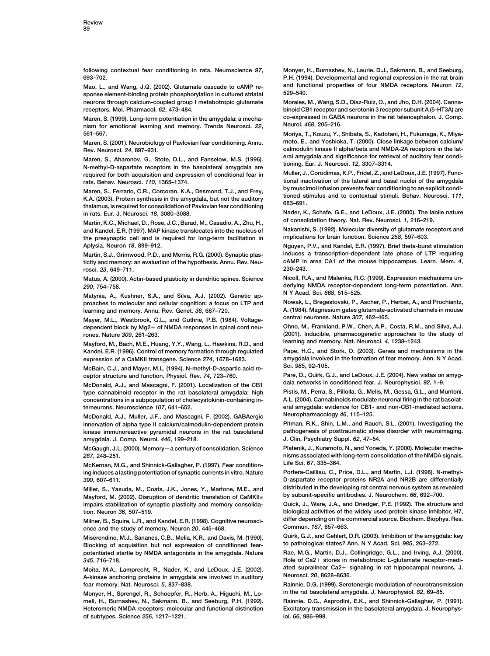**following contextual fear conditioning in rats. Neuroscience** *97***, Monyer, H., Burnashev, N., Laurie, D.J., Sakmann, B., and Seeburg, 693–702. P.H. (1994). Developmental and regional expression in the rat brain**

**529–540. sponse element-binding protein phosphorylation in cultured striatal neurons through calcium-coupled group I metabotropic glutamate Morales, M., Wang, S.D., Diaz-Ruiz, O., and Jho, D.H. (2004). Cannareceptors. Mol. Pharmacol.** *62***, 473–484. binoid CB1 receptor and serotonin 3 receptor subunit A (5-HT3A) are**

**nism for emotional learning and memory. Trends Neurosci. 22, 561–567.** 

Maren, S., Aharonov, G., Stote, D.L., and Fanselow, M.S. (1996).<br>N-methyl-D-aspartate receptors in the basolateral amygdala are in the tioning. Eur. J. Neurosci. 12, 3307-3314<br>Frequired for both acquisition and expression required for both acquisition and expression of conditional fear in

Maren, S., Ferrario, C.R., Corcoran, K.A., Desmond, T.J., and Frey,<br>K.A. (2003). Protein synthesis in the amygdala, but not the auditory<br>thalamus, is required for consolidation of Pavlovian fear conditioning 683–691.

**of consolidation theory. Nat. Rev. Neurosci.** *<sup>1</sup>***, 216–219. Martin, K.C., Michael, D., Rose, J.C., Barad, M., Casadio, A., Zhu, H., and Kandel, E.R. (1997). MAP kinase translocates into the nucleus of Nakanishi, S. (1992). Molecular diversity of glutamate receptors and implications for brain function. Science** *258***, 597–603. the presynaptic cell and is required for long-term facilitation in Aplysia. Neuron** *18***, 899–912. Nguyen, P.V., and Kandel, E.R. (1997). Brief theta-burst stimulation**

**230–243. rosci.** *23***, 649–711.**

Matynia, A., Kushner, S.A., and Silva, A.J. (2002). Genetic ap-<br>proaches to molecular and cellular cognition: a focus on LTP and Nowak, L., Bregestovski, P., Ascher, P., Herbet, A., and Prochiantz, proaches to molecular and cellular cognition: a focus on LTP and

Mayer, M.L., Westbrook, G.L., and Guthrie, P.B. (1984). Voltage**dependent block by Mg2 of NMDA responses in spinal cord neu- Ohno, M., Frankland, P.W., Chen, A.P., Costa, R.M., and Silva, A.J. rones. Nature** *309***, 261–263. (2001). Inducible, pharmacogenetic approaches to the study of**

**Mayford, M., Bach, M.E., Huang, Y.Y., Wang, L., Hawkins, R.D., and learning and memory. Nat. Neurosci.** *<sup>4</sup>***, 1238–1243.** Kandel, E.R. (1996). Control of memory formation through regulated

**McBain, C.J., and Mayer, M.L. (1994). N-methyl-D-aspartic acid re- Sci.** *<sup>985</sup>***, 92–105.**

**McDonald, A.J., and Mascagni, F. (2001). Localization of the CB1 dala networks in conditioned fear. J. Neurophysiol.** *92***, 1–9. type cannabinoid receptor in the rat basolateral amygdala: high Pistis, M., Perra, S., Pillolla, G., Melis, M., Gessa, G.L., and Muntoni,** concentrations in a subpopulation of cholecystokinin-containing in-

**McDonald, A.J., Muller, J.F., and Mascagni, F. (2002). GABAergic Neuropharmacology** *46***, 115–125. innervation of alpha type II calcium/calmodulin-dependent protein Pitman, R.K., Shin, L.M., and Rauch, S.L. (2001). Investigating the kinase immunoreactive pyramidal neurons in the rat basolateral pathogenesis of posttraumatic stress disorder with neuroimaging. amygdala. J. Comp. Neurol.** *446***, 199–218. J. Clin. Psychiatry Suppl.** *62***, 47–54.**

**McKernan, M.G., and Shinnick-Gallagher, P. (1997). Fear condition- Life Sci.** *67***, 335–364. ing induces a lasting potentiation of synaptic currents in vitro. Nature Portera-Cailliau, C., Price, D.L., and Martin, L.J. (1996). N-methyl-***390***, 607–611. D-aspartate receptor proteins NR2A and NR2B are differentially**

**Mayford, M. (2002). Disruption of dendritic translation of CaMKII** $\alpha$ **impairs stabilization of synaptic plasticity and memory consolida- Quick, J., Ware, J.A., and Driedger, P.E. (1992). The structure and**

**Commun.** *187***, 657–663. ence and the study of memory. Neuron** *20***, 445–468.**

**Blocking of acquisition but not expression of conditioned fearpotentiated startle by NMDA antagonists in the amygdala. Nature Rae, M.G., Martin, D.J., Collingridge, G.L., and Irving, A.J. (2000).** *345***, 716–718. Role of Ca2 stores in metabotropic L-glutamate receptor-medi-**

A-kinase anchoring proteins in amygdala are involved in auditory **fear memory. Nat. Neurosci.** *5***, 837–838. Rainnie, D.G. (1999). Serotonergic modulation of neurotransmission**

**Monyer, H., Sprengel, R., Schoepfer, R., Herb, A., Higuchi, M., Lo- in the rat basolateral amygdala. J. Neurophysiol.** *82***, 69–85. Heteromeric NMDA receptors: molecular and functional distinction Excitatory transmission in the basolateral amygdala. J. Neurophysof subtypes. Science** *256***, 1217–1221. iol.** *66***, 986–998.**

**Mao, L., and Wang, J.Q. (2002). Glutamate cascade to cAMP re- and functional properties of four NMDA receptors. Neuron** *12***,**

**Maren, S. (1999). Long-term potentiation in the amygdala: a mecha- co-expressed in GABA neurons in the rat telencephalon. J. Comp.**

**561–567. Moriya, T., Kouzu, Y., Shibata, S., Kadotani, H., Fukunaga, K., Miya-Maren, S. (2001). Neurobiology of Pavlovian fear conditioning. Annu. moto, E., and Yoshioka, T. (2000). Close linkage between calcium/** Rev. Neurosci. 24, 897–931.<br>Message C., 897–931. **Calmondulin kinase II alpha/beta and NMDA-2A receptors in the lat-**<br>Message C., Abersary C., Chita, B.L., and Essailary M.C. (1999) eral amygdala and significance for retri

**rats. Behav. Neurosci.** *110***, 1365–1374. tional inactivation of the lateral and basal nuclei of the amygdala**

**in rats. Eur. J. Neurosci.** *18***, 3080–3088. Nader, K., Schafe, G.E., and LeDoux, J.E. (2000). The labile nature**

**Martin, S.J., Grimwood, P.D., and Morris, R.G. (2000). Synaptic plas- induces a transcription-dependent late phase of LTP requiring** ticity and memory: an evaluation of the hypothesis. Annu. Rev. Neu-<br>
230–243.<br>
230–243.

**Matus, A. (2000). Actin-based plasticity in dendritic spines. Science Nicoll, R.A., and Malenka, R.C. (1999). Expression mechanisms un-***290* **derlying NMDA receptor-dependent long-term potentiation. Ann. , 754–758.**

**learning and memory. Annu. Rev. Genet.** *36***, 687–720. A. (1984). Magnesium gates glutamate-activated channels in mouse**

expression of a CaMKII transgene. Science 274, 1678-1683. **amygdala involved in the formation of fear memory. Ann. N Y Acad.** 

**ceptor structure and function. Physiol. Rev.** *74***, 723–760. Pare, D., Quirk, G.J., and LeDoux, J.E. (2004). New vistas on amyg-**

**terneurons. Neuroscience** *107***, 641–652. eral amygdala: evidence for CB1- and non-CB1-mediated actions.**

**McGaugh, J.L. (2000). Memory—a century of consolidation. Science Platenik, J., Kuramoto, N., and Yoneda, Y. (2000). Molecular mecha-***287***, 248–251. nisms associated with long-term consolidation of the NMDA signals.**

**Miller, S., Yasuda, M., Coats, J.K., Jones, Y., Martone, M.E., and distributed in the developing rat central nervous system as revealed**

**tion. Neuron** *36***, 507–519. biological activities of the widely used protein kinase inhibitor, H7, Milner, B., Squire, L.R., and Kandel, E.R. (1998). Cognitive neurosci- differ depending on the commercial source. Biochem. Biophys. Res.**

**Miserendino, M.J., Sananes, C.B., Melia, K.R., and Davis, M. (1990). Quirk, G.J., and Gehlert, D.R. (2003). Inhibition of the amygdala: key**

**Moita, M.A., Lamprecht, R., Nader, K., and LeDoux, J.E. (2002). ated supralinear Ca2 signaling in rat hippocampal neurons. J.**

**meli, H., Burnashev, N., Sakmann, B., and Seeburg, P.H. (1992). Rainnie, D.G., Asprodini, E.K., and Shinnick-Gallagher, P. (1991).**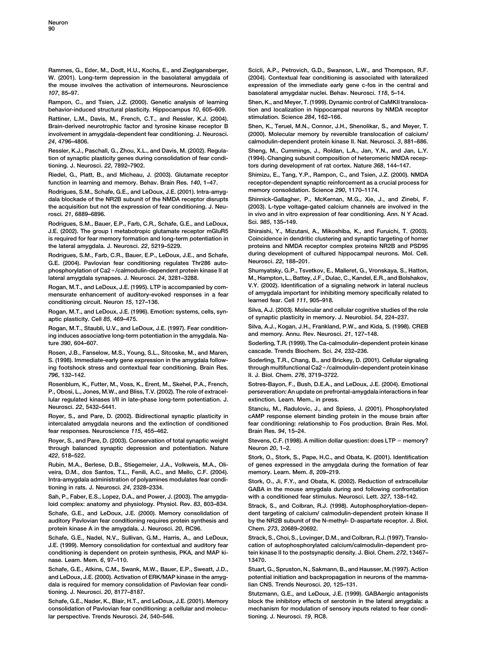**W. (2001). Long-term depression in the basolateral amygdala of (2004). Contextual fear conditioning is associated with lateralized the mouse involves the activation of interneurons. Neuroscience expression of the immediate early gene c-fos in the central and** *107***, 85–97. basolateral amygdalar nuclei. Behav. Neurosci.** *118***, 5–14.**

**behavior-induced structural plasticity. Hippocampus** *10***, 605–609. tion and localization in hippocampal neurons by NMDA receptor**

**Rattiner, L.M., Davis, M., French, C.T., and Ressler, K.J. (2004). stimulation. Science** *284***, 162–166. Brain-derived neurotrophic factor and tyrosine kinase receptor B Shen, K., Teruel, M.N., Connor, J.H., Shenolikar, S., and Meyer, T.** *24***, 4796–4806. calmodulin-dependent protein kinase II. Nat. Neurosci.** *3***, 881–886.**

**tion of synaptic plasticity genes during consolidation of fear condi- (1994). Changing subunit composition of heteromeric NMDA receptioning. J. Neurosci.** *22***, 7892–7902. tors during development of rat cortex. Nature** *368***, 144–147.**

**function in learning and memory. Behav. Brain Res.** *140***, 1–47. receptor-dependent synaptic reinforcement as a crucial process for**

**Rodrigues, S.M., Schafe, G.E., and LeDoux, J.E. (2001). Intra-amyg- memory consolidation. Science** *290***, 1170–1174. dala blockade of the NR2B subunit of the NMDA receptor disrupts Shinnick-Gallagher, P., McKernan, M.G., Xie, J., and Zinebi, F. the acquisition but not the expression of fear conditioning. J. Neu- (2003). L-type voltage-gated calcium channels are involved in the**

**Rodrigues, S.M., Bauer, E.P., Farb, C.R., Schafe, G.E., and LeDoux, Sci.** *985***, 135–149. J.E. (2002). The group I metabotropic glutamate receptor mGluR5 Shiraishi, Y., Mizutani, A., Mikoshiba, K., and Furuichi, T. (2003). is required for fear memory formation and long-term potentiation in Coincidence in dendritic clustering and synaptic targeting of homer the lateral amygdala. J. Neurosci.** *22***, 5219–5229. proteins and NMDA receptor complex proteins NR2B and PSD95**

**G.E.** (2004). Pavlovian fear conditioning regulates Thr286 auto**phosphorylation of Ca2/calmodulin-dependent protein kinase II at Shumyatsky, G.P., Tsvetkov, E., Malleret, G., Vronskaya, S., Hatton,**

mensurate enhancement of auditory-evoked responses in a fear of amygdala important for inhib<br>Conditioning circuit, Neuron 15, 127–136. **learned fear. Cell** *111***, 905–918. conditioning circuit. Neuron** *15***, 127–136.**

**of synaptic plasticity in memory. J. Neurobiol. 54, 224–237.**<br> **Proper M. T. Staubli IIV** and LeDoux. J.F. (1997). Fear condition. Silva, A.J., Kogan, J.H., Frankland, P.W., and Kida, S. (1998). CREB

Rogan, M.T., Staubli, U.V., and LeDoux, J.E. (1997). Fear condition-**Silva, A.J., Kogan, J.H., Frankland, P.W.,** and Kid<br>ing induces associative long-term potentiation in the amvgdala. Na-Sand memory. Annu. Rev. Neurosci. ing induces associative long-term potentiation in the amygdala. Na**ture** *390***, 604–607. Soderling, T.R. (1999). The Ca-calmodulin-dependent protein kinase**

**Rosen, J.B., Fanselow, M.S., Young, S.L., Sitcoske, M., and Maren, cascade. Trends Biochem. Sci.** *24***, 232–236. S. (1998). Immediate-early gene expression in the amygdala follow- Soderling, T.R., Chang, B., and Brickey, D. (2001). Cellular signaling ing footshock stress and contextual fear conditioning. Brain Res. through multifunctional Ca2/calmodulin-dependent protein kinase** *796***, 132–142. II. J. Biol. Chem.** *276***, 3719–3722.**

**P., Obosi, L., Jones, M.W., and Bliss, T.V. (2002). The role of extracel- perseveration: An update on prefrontal-amygdala interactions in fear lular regulated kinases I/II in late-phase long-term potentiation. J. extinction. Learn. Mem., in press. Neurosci.** *22***, 5432–5441. Stanciu, M., Radulovic, J., and Spiess, J. (2001). Phosphorylated**

**intercalated amygdala neurons and the extinction of conditioned fear conditioning: relationship to Fos production. Brain Res. Mol. fear responses. Neuroscience** *115***, 455–462. Brain Res.** *94***, 15–24.**

**through balanced synaptic depression and potentiation. Nature Neuron** *20***, 1–2.**

**veira, D.M., dos Santos, T.L., Fenili, A.C., and Mello, C.F. (2004). memory. Learn. Mem.** *8***, 209–219. Intra-amygdala administration of polyamines modulates fear condi- Stork, O., Ji, F.Y., and Obata, K. (2002). Reduction of extracellular**

**loid complex: anatomy and physiology. Physiol. Rev.** *83***, 803–834. Strack, S., and Colbran, R.J. (1998). Autophosphorylation-depen-Schafe, G.E., and LeDoux, J.E. (2000). Memory consolidation of dent targeting of calcium/ calmodulin-dependent protein kinase II auditory Pavlovian fear conditioning requires protein synthesis and by the NR2B subunit of the N-methyl- D-aspartate receptor. J. Biol. protein kinase A in the amygdala. J. Neurosci.** *20***, RC96. Chem.** *273***, 20689–20692.**

**J.E. (1999). Memory consolidation for contextual and auditory fear cation of autophosphorylated calcium/calmodulin-dependent proconditioning is dependent on protein synthesis, PKA, and MAP ki- tein kinase II to the postsynaptic density. J. Biol. Chem.** *272***, 13467– nase. Learn. Mem.** *6***, 97–110. 13470.**

**dala is required for memory consolidation of Pavlovian fear condi- lian CNS. Trends Neurosci.** *20***, 125–131.**

**consolidation of Pavlovian fear conditioning: a cellular and molecu- mechanism for modulation of sensory inputs related to fear condilar perspective. Trends Neurosci.** *24***, 540–546. tioning. J. Neurosci.** *19***, RC8.**

**Rammes, G., Eder, M., Dodt, H.U., Kochs, E., and Zieglgansberger, Scicli, A.P., Petrovich, G.D., Swanson, L.W., and Thompson, R.F.**

Rampon, C., and Tsien, J.Z. (2000). Genetic analysis of learning Shen, K., and Meyer, T. (1999). Dynamic control of CaMKII transloca-

**involvement in amygdala-dependent fear conditioning. J. Neurosci. (2000). Molecular memory by reversible translocation of calcium/**

**Ressler, K.J., Paschall, G., Zhou, X.L., and Davis, M. (2002). Regula- Sheng, M., Cummings, J., Roldan, L.A., Jan, Y.N., and Jan, L.Y.**

**Riedel, G., Platt, B., and Micheau, J. (2003). Glutamate receptor Shimizu, E., Tang, Y.P., Rampon, C., and Tsien, J.Z. (2000). NMDA**

**rosci.** *21***, 6889–6896. in vivo and in vitro expression of fear conditioning. Ann. N Y Acad.**

**Rodrigues, S.M., Farb, C.R., Bauer, E.P., LeDoux, J.E., and Schafe, during development of cultured hippocampal neurons. Mol. Cell.**

**lateral amygdala synapses. J. Neurosci.** *24***, 3281–3288. M., Hampton, L., Battey, J.F., Dulac, C., Kandel, E.R., and Bolshakov, Rogan, M.T., and LeDoux, J.E. (1995). LTP is accompanied by com- V.Y. (2002). Identification of a signaling network in lateral nucleus**

**Rogan, M.T., and LeDoux, J.E. (1996). Emotion: systems, cells, syn- Silva, A.J. (2003). Molecular and cellular cognitive studies of the role**

**Rosenblum, K., Futter, M., Voss, K., Erent, M., Skehel, P.A., French, Sotres-Bayon, F., Bush, D.E.A., and LeDoux, J.E. (2004). Emotional**

**Royer, S., and Pare, D. (2002). Bidirectional synaptic plasticity in cAMP response element binding protein in the mouse brain after**

**Royer, S., and Pare, D. (2003). Conservation of total synaptic weight Stevens, C.F. (1998). A million dollar question: does LTP memory?**

*422***, 518–522. Stork, O., Stork, S., Pape, H.C., and Obata, K. (2001). Identification Rubin, M.A., Berlese, D.B., Stiegemeier, J.A., Volkweis, M.A., Oli- of genes expressed in the amygdala during the formation of fear**

GABA in the mouse amygdala during and following confrontation **Sah, P., Faber, E.S., Lopez, D.A., and Power, J. (2003). The amygda- with a conditioned fear stimulus. Neurosci. Lett.** *327***, 138–142.**

Schafe, G.E., Nadel, N.V., Sullivan, G.M., Harris, A., and LeDoux, Strack, S., Choi, S., Lovinger, D.M., and Colbran, R.J. (1997). Translo-

**Schafe, G.E., Atkins, C.M., Swank, M.W., Bauer, E.P., Sweatt, J.D., Stuart, G., Spruston, N., Sakmann, B., and Hausser, M. (1997). Action and LeDoux, J.E. (2000). Activation of ERK/MAP kinase in the amyg- potential initiation and backpropagation in neurons of the mamma-**

**tioning. J. Neurosci.** *20***, 8177–8187. Stutzmann, G.E., and LeDoux, J.E. (1999). GABAergic antagonists Schafe, G.E., Nader, K., Blair, H.T., and LeDoux, J.E. (2001). Memory block the inhibitory effects of serotonin in the lateral amygdala: a**